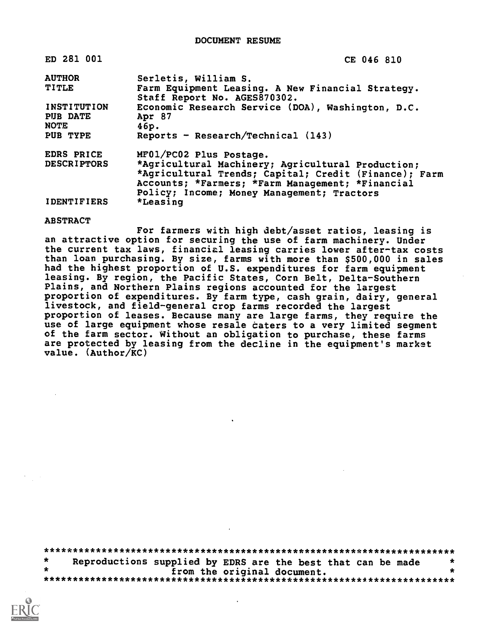DOCUMENT RESUME

| ED 281 001                                    | CE 046 810                                                                                                                                                                                                                              |
|-----------------------------------------------|-----------------------------------------------------------------------------------------------------------------------------------------------------------------------------------------------------------------------------------------|
| <b>AUTHOR</b>                                 | Serletis, William S.                                                                                                                                                                                                                    |
| <b>TITLE</b>                                  | Farm Equipment Leasing. A New Financial Strategy.<br>Staff Report No. AGES870302.                                                                                                                                                       |
| <b>INSTITUTION</b><br>PUB DATE<br><b>NOTE</b> | Economic Research Service (DOA), Washington, D.C.<br>Apr 87<br>46p.                                                                                                                                                                     |
| PUB TYPE                                      | Reports - Research/Technical $(143)$                                                                                                                                                                                                    |
| EDRS PRICE<br><b>DESCRIPTORS</b>              | MF01/PC02 Plus Postage.<br>*Agricultural Machinery; Agricultural Production;<br>*Agricultural Trends; Capital; Credit (Finance); Farm<br>Accounts; *Farmers; *Farm Management; *Financial<br>Policy; Income; Money Management; Tractors |
| <b>IDENTIFIERS</b>                            | *Leasing                                                                                                                                                                                                                                |

#### **ABSTRACT**

For farmers with high debt/asset ratios, leasing is an attractive option for securing the use of farm machinery. Under the current tax laws, financial leasing carries lower after-tax costs than loan purchasing. By size, farms with more than \$500,000 in sales had the highest proportion of U.S. expenditures for farm equipment leasing. By region, the Pacific States, Corn Belt, Delta-Southern Plains, and Northern Plains regions accounted for the largest proportion of expenditures. By farm type, cash grain, dairy, general livestock, and field-general crop farms recorded the largest proportion of leases. Because many are large farms, they require the use of large equipment whose resale caters to a very limited segment of the farm sector. Without an obligation to purchase, these farms are protected by leasing from the decline in the equipment's market value.  $(Author/KC)$ 

 $\star$ Reproductions supplied by EDRS are the best that can be made  $\star$ from the original document.  $\bullet$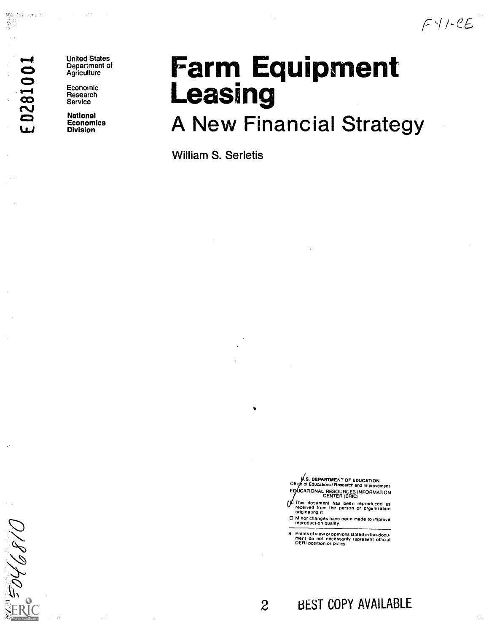$FY/CE$ 

# $\sim$

Versije pro

**United States** Department of **Agriculture** 

Economic<br>
Research Research<br>
Service

1:3 National Economics Division

## Farm Equipment<br>Leasing

## A New Financial Strategy

William S. Serletis

.S. DEPARTMENT OF EDUCATION <sup>0111</sup> of Educational Research and Improvement EQUCATIONAL RESOURCES INFORMATION<br>CENTER (ERIC)

This document has been reproduced as<br>received from the person or organization<br>originaling it.

0 Minor changes have been made to improve reproduction quality.

Points of view or opinions stated in thisdocu . merit do not necessarily represent official OERI position or policy

## 2 BEST COPY AVAILABLE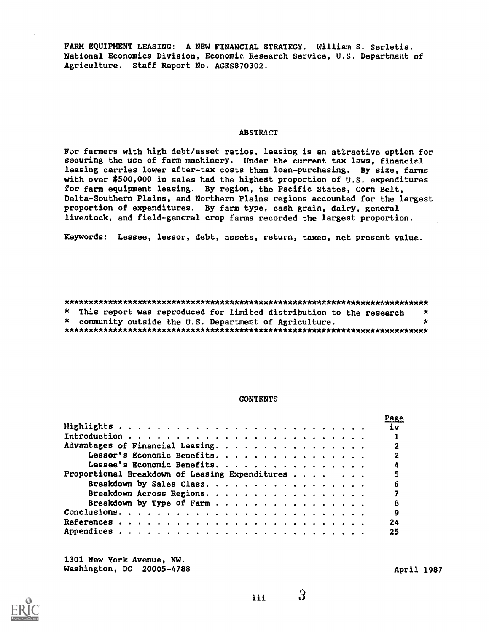FARM EQUIPMENT LEASING: A NEW FINANCIAL STRATEGY. William S. Serletis. National Economics Division, Economic Research Service, U.S. Department of Agriculture. Staff Report No. AGES870302.

#### **ABSTRACT**

For farmers with high debt/asset ratios, leasing is an attractive option for securing the use of farm machinery. Under the current tax laws, financial leasing carries lower after-tax costs than loan-purchasing. By size, farms with over \$500,000 in sales had the highest proportion of U.S. expenditures for farm equipment leasing. By region, the Pacific States, Corn Belt, Delta-Southern Plains, and Northern Plains regions accounted for the largest proportion of expenditures. By farm type, cash grain, dairy, general livestock, and field-general crop farms recorded the largest proportion.

Keywords: Lessee, lessor, debt, assets, return, taxes, net present value.

#### 

\* This report was reproduced for limited distribution to the research  $\star$ \* community outside the U.S. Department of Agriculture.  $\star$ 

#### **CONTENTS**

|                                                | rage           |
|------------------------------------------------|----------------|
|                                                |                |
|                                                |                |
| Advantages of Financial Leasing.               | $\mathbf{2}$   |
| Lessor's Economic Benefits.                    | $\mathbf{2}$   |
| Lessee's Economic Benefits.                    |                |
| Proportional Breakdown of Leasing Expenditures | 5              |
| Breakdown by Sales Class.                      | 6              |
| Breakdown Across Regions.                      |                |
| Breakdown by Type of Farm                      | 8              |
|                                                | $\overline{9}$ |
|                                                | 24             |
|                                                | 25             |
|                                                |                |

1301 New York Avenue, NW. Washington, DC 20005-4788





iii i

 $\mathbf{3}$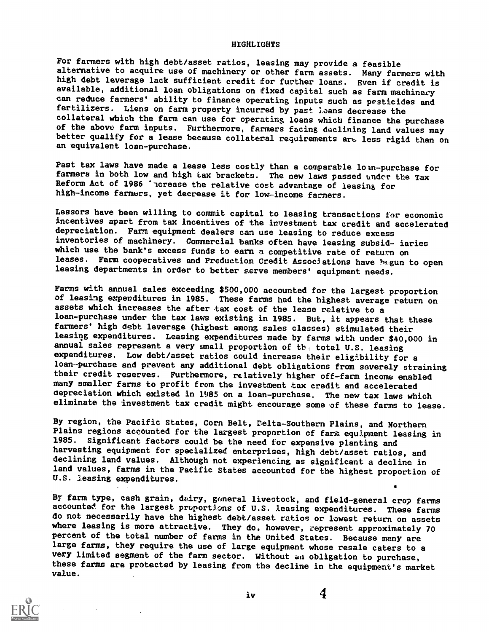#### HIGHLIGHTS

For farmers with high debt/asset ratios, leasing may provide a feasible alternative to acquire use of machinery or other farm assets. Many farmers with high debt leverage lack sufficient credit for further loans. Even if credit is available, additional loan obligations on fixed capital such as farm machinery can reduce farmers' ability to finance operating inputs such as pesticides and fertilizers. Liens on farm property incurred by past loans decrease the collateral which the farm can use for operating loans which finance the purchase of the above farm inputs. Furthermore, farmers facing declining land values may better qualify for a lease because collateral requirements are less rigid than on an equivalent loan-purchase.

Past tax laws have made a lease less costly than a comparable lo in-purchase for farmers in both low and high tax brackets. The new laws passed undor the Tax Reform Act of 1986 'ncrease the relative cost advantage of leasing for high-income farmers, yet decrease it for low-income farmers.

Lessors have been willing to commit capital to leasing transactions for economic incentives apart from tax incentives of the investment tax credit and accelerated<br>depreciation. Farm equipment dealers can use leasing to reduce excess inventories of machinery. Commercial banks often have leasing subsid- iaries which use the bank's excess funds to earn a competitive rate of return on leases. Farm cooperatives and Production Credit Associations have bagun to open leasing departments in order to better serve members' equipment needs.

Farms with annual sales exceeding \$500,000 accounted for the largest proportion<br>of leasing expenditures in 1985. These farms had the highest average return on assets which increases the after tax cost of the lease relative to a loan-purchase under the tax laws existing in 1985. But, it appears that these farmers' high debt leverage (highest among sales classes) stimulated their leasing expenditures. Leasing expenditures made by farms with under \$40,000 in annual sales represent a very small proportion of the total U.S. leasing expenditures. Low debt/asset ratios could increase their eligibility for a loan-purchase and prevent any additional debt obligations from severely straining their credit reserves. Furthermore, relatively higher off-farm income enabled many smaller farms to profit from the investment tax credit and accelerated aepreciation which existed in 1985 on a loan-purchase. The new tax laws which eliminate the investment tax credit might encourage some of these farms to lease.

By region, the Pacific States, Corn Belt, Calta-Southern Plains, and Northern Plains regions accounted for the largest proportion of farm equipment leasing in 1985. Significant factors could be the need for expensive planting and harvesting equipment for specialized enterprises, high debt/asset ratios, and declining land values. Although not experiencing as significant a decline in land values, farms in the Pacific States accounted for the highest proportion of U.S. leasing expenditures.

By farm type, cash grain, dairy, general livestock, and field-general crop farms accounted for the largest proportions of U.S. leasing expenditures. These farms do not necessarily have the highest debt/asset ratios or lowest return on assets where leasing is more attractive. They do, however, represent approximately 70 percent of the total number of farms in the United States. Because many are large farms, they require the use of large equipment whose resale caters to a very limited segment of the farm sector. Without an obligation to purchase, these farms are protected by leasing from the decline in the equipment's market value.

iv

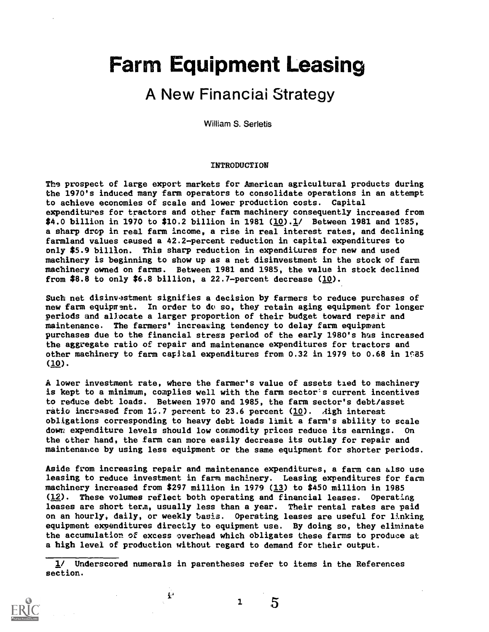## Farm Equipment Leasing

## A New Financiai Strategy

William S. Serletis

#### INTRODUCTION

The prospect of large export markets for American agricultural products during the 1970's induced many farm operators to consolidate operations in an attempt to achieve economies of scale and lower production costs. Capital expenditures for tractors and other farm machinery consequently increased from \$4.0 billion in 1970 to \$10.2 billion in 1981 ( $\underline{10}$ ). $\underline{1}$ / Between 1981 and 1985, a sharp drop in real farm income, a rise in real interest rates, and declining farmland values caused a 42.2-percent reduction in capital expenditures to only \$5.9 billion. This sharp reduction in expenditures for new and used machinery is beginning to show up as a net disinvestment in the stock of farm machinery owned on farms. Between 1981 and 1985, the value in stock declined from  $$8.8$  to only  $$6.8$  billion, a 22.7-percent decrease (10).

Such net disinvestment signifies a decision by farmers to reduce purchases of new farm equipment. In order to do so, they retain aging equipment for longer periods und allocate a larger proportion of their budget toward repair and maintenance. The farmers' increasing tendency to delay farm equipment purchases due to the financial stress period of the early 1980's has increased the aggregate ratio of repair and maintenance expenditures for tractors and other machinery to farm capital expenditures from 0.32 in 1979 to 0.68 in 1985 (10).

A lower investment rate, where the farmer's value of assets tied to machinery is kept to a minimum, complies well with the farm sector's current incentives to reduce debt loads. Between 1970 and 1985, the farm sector's debt/asset ratio increased from 15.7 percent to 23.6 percent  $(10)$ . Aigh interest obligations corresponding to heavy debt loads limit a farm's ability to scale down expenditure levels should low commodity prices reduce its earnings. On the other hand, the farm can more easily decrease its outlay for repair and maintenahce by using less equipment or the same equipment for shorter periods.

Aside from increasing repair and maintenance expenditures, a farm can also use leasing to reduce investment in farm machinery. Leasing expenditures for farm machinery increased from \$297 million in 1979 (13) to \$450 million in 1985  $(12)$ . These volumes reflect both operating and financial leases. Operating leases are short term, usually less than a year. Their rental rates are paid on an hourly, daily, or weekly basis. Operating leases are useful for linking equipment expenditures directly to equipment use. By doing so, they eliminate the accumulation of excess overhead which obligates these farms to produce at a high level of production without regard to demand for their output.

1/ Underscored numerals in parentheses refer to items in the References section.

 $\mathbf{r}$ 



1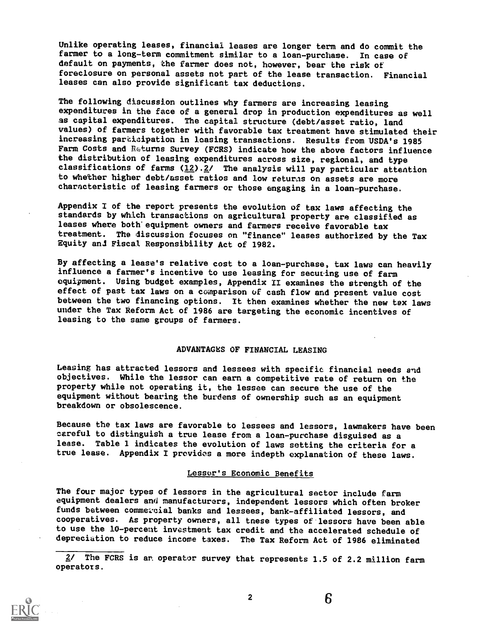Unlike operating leases, financial leases are longer term and do commit the farmer to a long-term commitment similar to a loan-purchase. In case of default on payments, the farmer does not, however, bear the risk of foreclosure on personal assets not part of the lease transaction. Financial leases can also provide significant tax deductions.

The following discussion outlines why farmers are increasing leasing expenditures in the face of a general drop in production expenditures as well as capital expenditures. The capital structure (debt/asset ratio, land values) of farmers together with favorable tax treatment have stimulated their inereasing parcieipation in leasing transactions. Results from USDA's 1985 Farm Costs and Returns Survey (FCRS) indicate how the above factors influence the distribution of leasing expenditures across size, regional, and type classifications of farms  $(12) .2/$  The analysis will pay particular attention to whether higher debt/asset ratios and low returns on assets are more characteristic of leasing farmers or those engaging in a loan-purchase.

Appendix I of the report presents the evolution of tax laws affecting the standards by which transactions on agricultural property are classified as leases where both'equipment owners and farmers receive favorable tax treatment. The discussion focuses on "finance" leases authorized by the Tax Equity ani Fiscal Responsibility Act of 1982.

By affecting a lease's relative cost to a loan-purchase, tax laws can heavily influence a farmer's incentive to use leasing for securing use of farm equipment. Using budget examples, Appendix II examines the strength of the effect of past tax laws on a comparison of cash flow and present value cost between the two financing options. It then examines whether the new tax laws under the Tax Reform Act of 1986 are targeting the economic incentives of leasing to the same groups of farmers.

#### ADVANTAGES OF FINANCIAL LEASING

Leasing has attracted lessors and lessees with specific financial needs and objectives. While the lessor can earn a competitive rate of return on the property while not operating it, the lessee can secure the use of the equipment without bearing the burdens of ownership such as an equipment breakdown or obsolescence.

Because the tax laws are favorable to lessees and lessors, lawmakers have been careful to distinguish a true lease from a loan-purchase disguised as a true lease. Appendix I provides a more indepth explanation of these laws.

#### Lessor's Economic Benefits

The four major types of lessors in the agricultural sector include farm equipment dealers and manufacturers, independent lessors which often broker funds between commetcial banks and lessees, bank-affiliated lessors, and cooperatives. As property owners, all tnese types of lessors have been able to use the 10-percent investment tax credit and the accelerated schedule of depreciation to reduce income taxes. The Tax Reform Act of 1986 eliminated

2/ The FCRS is an operator survey that represents 1.5 of 2.2 million farm operatots.



2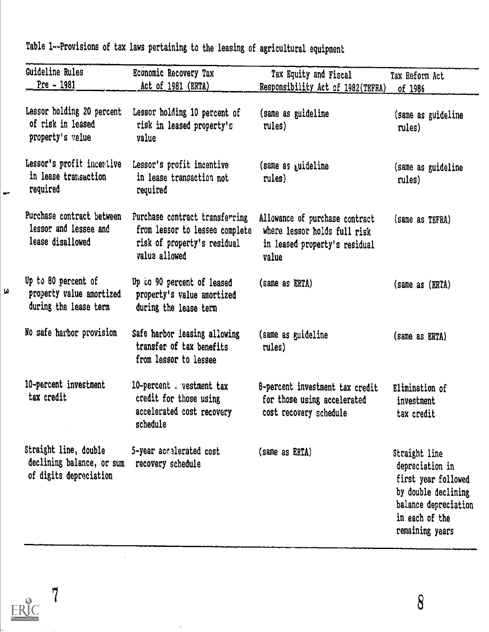| Guideline Rules                                                              | Economic Recovery Tax                                                                                            | Tax Equity and Fiscal                                                                                    | Tax Reform Act                                                                                                                              |
|------------------------------------------------------------------------------|------------------------------------------------------------------------------------------------------------------|----------------------------------------------------------------------------------------------------------|---------------------------------------------------------------------------------------------------------------------------------------------|
| <u> Pre – 1981</u>                                                           | <u>Act of</u> 1981 (ERTA)                                                                                        | Responsibility Act of 1982(TEFRA)                                                                        | <u>of 1986</u>                                                                                                                              |
| Lessor holding 20 percent<br>of risk in leased<br>property's value           | Lessor holding 10 percent of<br>risk in leased property's<br>value                                               | (same as guideline<br>rules)                                                                             | (same as guideline<br>rules)                                                                                                                |
| Lessor's profit incentive<br>in lease transaction<br>required                | Lessor's profit incentive<br>in lease transaction not<br>required                                                | (same as guideline<br>rules)                                                                             | (same as guideline<br>rules)                                                                                                                |
| Purchase contract between<br>lessor and lessee and<br>lease disallowed       | Purchase contract transferring<br>from lessor to lessee complete<br>risk of property's residual<br>value allowed | Allowance of purchase contract<br>where lessor holds full risk<br>in leased property's residual<br>value | (same as TEFRA)                                                                                                                             |
| Up to 80 percent of<br>property value amortized<br>during the lease term     | Up to 90 percent of leased<br>property's value amortized<br>during the lease term                                | (same as ERTA)                                                                                           | (same as (ERTA)                                                                                                                             |
| No safe harbor provision                                                     | Safe harbor leasing allowing<br>transfer of tax benefits<br>from lessor to lessee                                | (same as guideline<br>rules)                                                                             | (same as ERTA)                                                                                                                              |
| 10-percent investment<br>tax credit                                          | 10-percent restment tax<br>credit for those using<br>accelerated cost recovery<br>schedule                       | 8-percent investment tax credit<br>for those using accelerated<br>cost recovery schedule                 | Elimination of<br>investment<br>tax credit                                                                                                  |
| Straight line, double<br>declining balance, or sum<br>of digits depreciation | 5-year accelerated cost<br>recovery schedule                                                                     | (same as ERTA)                                                                                           | Straight line<br>depreciation in<br>first year followed<br>by double declining<br>balance depreciation<br>in each of the<br>remaining years |

Table 1--Provisions of tax laws pertaining to the leasing of agricultural equipment

 $\overline{7}$  $\underset{\overbrace{\mathbf{F}^{\text{full Test Periods by EHC}}}}{\mathop{\text{ERC}}\nolimits}$ 

 $\hat{\mathcal{A}}$ 

 $\bar{\epsilon}$ 

œ۳

 $\pmb{\omega}$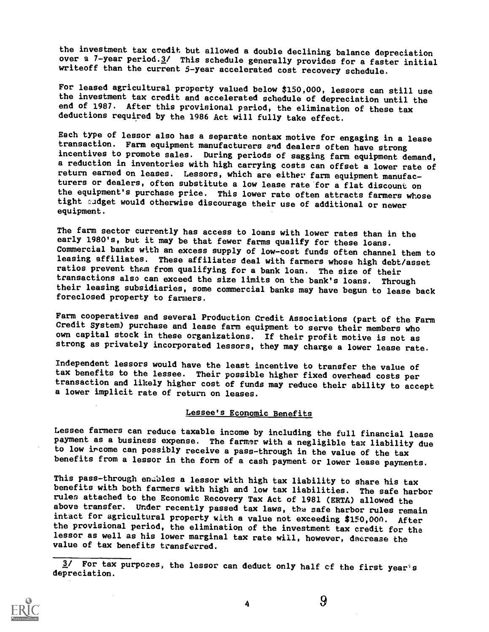the investment tax credit but allowed a double declining balance depreciation over a 7-year period.3/ This schedule generally provides for a faster initial writeoff than the current 5-year accelerated cost recovery schedule.

For leased agricultural property valued below \$150,000, lessors can still use the investment tax credit and accelerated schedule of depreciation until the end of 1987. After this provisional period, the elimination of these tax deductions required by the 1986 Act will fully take effect.

Each type of lessor also has a separate nontax motive for engaging in a lease transaction. Farm equipment manufacturers end dealers often have strong incentives to promote sales. During periods of sagging farm equipment demand, a reduction in inventories with high carrying costs can offset a lower rate of return earned on leases. Lessors, which are either farm equipment manufacturers or dealers, often substitute a low lease rate for a flat discount on the equipment's purchase price. This lower rate often attracts farmers whose tight sudget would otherwise discourage their use of additional or newer equipment.

The farm sector currently has access to loans with lower rates than in the early 1980's, but it may be that fewer farms qualify for these loans. Commercial banks with an excess supply of low-cost funds often channel them to leasing affiliates. These affiliates deal with farmers whose high debt/asset ratios prevent them from qualifying for a bank loan. The size of their transactions also can exceed the size limits on the bank's loans. Through their leasing subsidiaries, some commercial banks may have begun to lease back foreclosed property to farmers.

Farm cooperatives and several Production Credit Associations (part of the Farm Credit System) purchase and lease farm equipment to serve their members who strong as privately incorporated lessors, they may charge a lower lease rate.

Independent lessors would have the least incentive to transfer the value of tax benefits to the lessee. Their possible higher fixed overhead costs per transaction and likely higher cost of funds may reduce their ability to accept a lower implicit rate of return on leases.

#### Lessee's Economic Benefits

Lessee farmers can reduce taxable income by including the full financial lease payment as a business expense. The farmer with a negligible tax liability due to low ircome can possibly receive a pass-through in the value of the tax benefits from a lessor in the form of a cash payment or lower lease payments.

This pass-through enables a lessor with high tax liability to share his tax benefits with both farmers with high and low tax liabilities. The safe harbor rules attached to the Economic Recovery Tax Act of 1981 (ERTA) allowed the above transfer. Under recently passed tax laws, the safe harbor rules remain intact for agricultural property with a value not exceeding \$150,00n. After the provisional period, the elimination of the investment tax credit for the lessor as well as his lower marginal tax rate will, however, daerease the value of tax benefits transferred.

3/ For tax purposes, the lessor can deduct only half of the first year's depreciation.

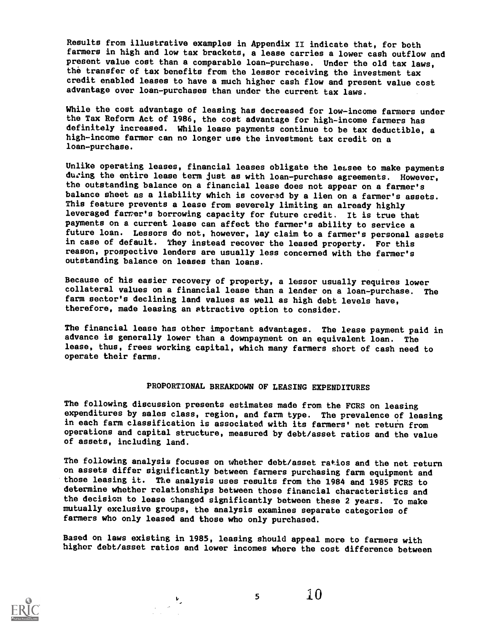Results from illustrative examples in Appendix II indicate that, for both farmers in high and low tax brackets, a lease carries a lower cash outflow and present value cost than a comparable loan-purchase. Under the old tax laws, the transfer of tax benefits from the lessor receiving the investment tax credit enabled leases to have a much higher cash flow and present value cost advantage over loan-purchases than under the current tax laws.

While the cost advantage of leasing has decreased for low-income farmers under the Tax Reform Act of 1986, the cost advantage for high-income farmers has definitely increased. While lease payments continue to be tax deductible, <sup>a</sup> high-income farmer can no longer use the investment tax credit on a loan-purchase.

Unlike operating leases, financial leases obligate the leasee to make payments during the entire lease term just as with loan-purchase agreements. However, the outstanding balance on a financial lease does not appear on a farmer's balance sheet as a liability which is covered by a lien on a farmer's assets. This feature prevents a lease from severely limiting an already highly leveraged farmer's borrowing capacity for future credit. It is true that<br>payments on a current lease can affect the farmer's ability to service a future loan. Lessors do not, however, lay claim to a farmer's personal assets in case of default. They instead recover the leased property. For this reason, prospective lenders are usually less concerned with the farmer's outstanding balance on leases than loans.

Because of his easier recovery of property, a lessor usually requires lower collateral values on a financial lease than a lender on a loan-purchase. The farm sector's declining land values as well as high debt levels have, therefore, made leasing an attractive option to consider.

The financial lease has other important advantages. The lease payment paid in advance is generally lower than a downpayment on an equivalent loan. The lease, thus, frees working capital, which many farmers short of cash need to operate their farms.

#### PROPORTIONAL BREAKDOWN OF LEASING EXPENDITURES

The following discussion presents estimates made from the FCRS on leasing expenditures by sales class, region, and farm type. The prevalence of leasing in each farm classification is associated with its farmers' net return from operations and capital structure, measured by debt/asset ratios and the value of assets, including land.

The following analysis focuses on whether debt/asset ratios and the net return on assets differ significantly between farmers purchasing farm equipment and those leasing it. The analysis uses results from the 1984 and 1985 FCRS to determine whether relationships between those financial characteristics and the decision to lease changed significantly between these 2 years. To make mutually exclusive groups, the analysis examines separate categories of farmers who only leased and those who only purchased.

Based on laws existing in 1985, leasing should appeal more to farmers with higher debt/asset ratios and lower incomes where the cost difference between



 $5 -$ 

 $\overline{10}$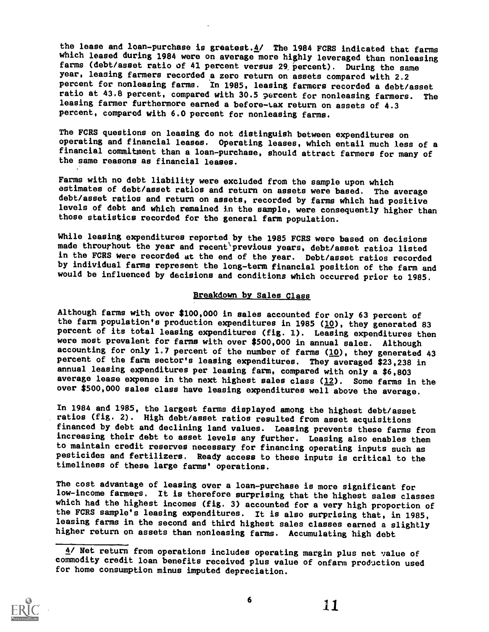the lease and loan-purchase is greatest. $4/$  The 1984 FCRS indicated that farms which leased during 1984 were on average more highly leveraged than nonleasing farms (debt/asset ratio of 41 percent versus 29 percent). During the same year, leasing farmers recorded a zero return on assets compared with 2.2 percent for nonleasing farms. In 1985, leasing farmers recorded a debt/asset ratio at 43.8 percent, compared with 30.5 percent for nonleasing farmers. The leasing farmer furthermore earned a before-Lax return on assets of 4.3 percent, compared with 6.0 percent for nonleasing farms.

The FCRS questions on leasing do not distinguish between expenditures on financial commitment than a loan-purchase, should attract farmers for many of the same reasons as financial leases.

Farms with no debt liability were excluded from the sample upon which estimates of debt/asset ratios and return on assets were based. The average debt/asset ratios and return on assets, recorded by farms which had positive levels of debt and which remained in the sample, were consequently higher than those statistics recorded for the general farm population.

While leasing expenditures reported by the 1985 FCRS were based on decisions made throurhout the year and recent previous years, debt/asset ratios listed in the FCRS were recorded dt the end of the year. Debt/asset ratios recorded by individual farms represent the long-term financial position of the farm and would be influenced by decisions and conditions which occurred prior to 1985.

#### Breakdown by Sales Class

Although farms with over \$100,000 in sales accounted for only 63 percent of the farm population's production expenditures in 1985 ( $\underline{10}$ ), they generated 83 percent of its total leasing expenditures (fig. 1). Leasing expenditures then were most prevalent for farms with over \$500,000 in annual sales. Although accounting for only 1.7 percent of the number of farms  $(10)$ , they generated 43 percent of the farm sector's leasing expenditures. They averaged \$23,238 in annual leasing expenditures per leasing farm, compared with only a \$6,803 average lease expense in the next highest sales class (12). Some farms in the over \$500,000 sales class have leasing expenditures well above the average.

In 1984 and 1985, the largest farms displayed among the highest debt/asset ratios (fig. 2). High debt/asset ratios resulted from asset acquisitions financed by debt and declining land values. Leasing prevents these farms from increasing their debt to asset levels any further. Leasing also enables them to maintain credit reserves necessary for financing operating inputs such as pesticides and fertilizers. Ready access to these inputs is critical to the timeliness of these large farms' operations.

The cost advantage of leasing over a loan-purchase is more significant for low-income farmers. It is therefore surprising that the highest sales classes which had the highest incomes (fig. 3) accounted for a very high proportion of the FCRS sample's leasing expenditures. It is also surprising that, in 1985, leasing farms in the second and third highest sales classes earned a slightly higher return on assets than nonleasing farms. Accumulating high debt

<sup>4/</sup> Net return from operations includes operating margin plus net value of commodity credit loan benefits received plus value of onfarm production used for home consumption minus imputed depreciation.

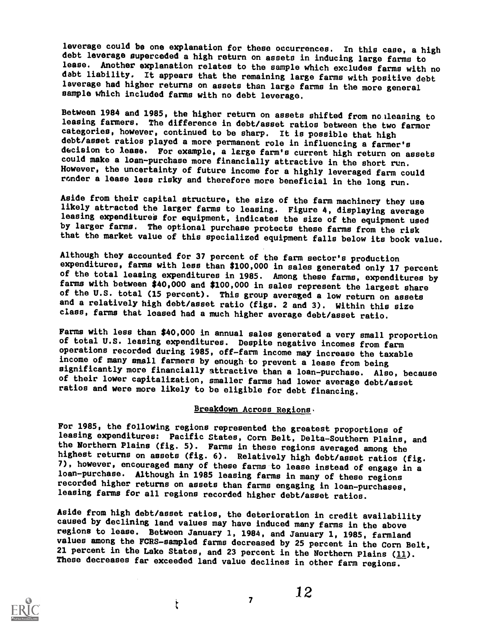leverage could be one explanation for these occurrences. In this case, a high debt leverage superceded a high return on assets in inducing large farms to lease. Another explanation relates to the sample which excludes farms with no debt liability. It appears that the remaining large farms with positive debt leverage had higher returns on assets than large farms in the more general sample which included farms with no debt leverage.

Between 1984 and 1985, the higher return on assets shifted from no:leasing to leasing farmere. The difference in debt/asset ratios between the two farmer categories, however, continued to be sharp. It ie possible that high debt/asset ratios played a more permanent role in influencing a farmer's decision to lease. For example, a large farm's current high return on assets could make a loan-purchase more financially attractive in the short run. However, the uncertainty of future income for a highly leveraged farm could ronder a lease less risky and therefore more beneficial in the long run.

Aside from their capital structure, the size of the farm machinery they use likely attracted the larger farms to leasing. Figure 4, displaying average leasing expenditures for equipment, indicates the size of the equipment used by larger farms. The optional purchase protects these farms from the risk that the market value of this specialized equipment falls below its book value.

Although they accounted for 37 percent of the farm sector's production expenditures, farms with less than \$100,000 in sales generated only 17 percent of the total leasing expenditures in 1985. Among these farms, expenditures by farms with between \$40,000 and \$100,000 in sales represent the largest share of the U.S. total (15 percent). This group averaged a low return on assets and a relatively high debt/asset ratio (figs. 2 and 3). Within this size class, farms that leased had a much higher average debt/asset ratio.

Farms with less than \$40,000 in annual sales generated a very small proportion of total U.S. leasing expenditures. Despite negative incomes from farm operations recorded during 1985, off-farm income may increase the taxable income of many small farmers by enough to prevent a lease from being significantly more financially ttractive than a loan-purchase. Also, because of their lower capitalization, smaller farms had lower average debt/asset ratios and were more likely to be eligible for debt financing.

#### Breakdown Across Regions.

For 1985, the following regions represented the greatest proportions of leasing expenditures: Pacific States, Corn Belt, Delta-Southern Plains, and the Northern Plains (fig. 5). Farms in these regions averaged among the highest returns on assets (fig. 6). Relatively high debt/asset ratios (fig.<br>7), however, encouraged many of these farms to lease instead of engage in a 10an-purchase. Although in 1985 leasing farms in many of these regions recorded higher returns on assets than farms engaging in loan-purchases, leasing farms for all regions recorded higher debt/asset ratios.

Aside from high debt/asset ratios, the deterioration in credit availability caused by declining land values may have induced many farms in the above regions to lease. Between January 1, 1984, and January 1, 1985, farmland values among the FCRS-sampled farms decreased by 25 percent in the Corn Belt, 21 percent in the Lake States, and 23 percent in the Northern Plains  $(11)$ . These decreases far exceeded land value declines in other farm regions.



 $, 12$ 

 $\mathfrak{k}$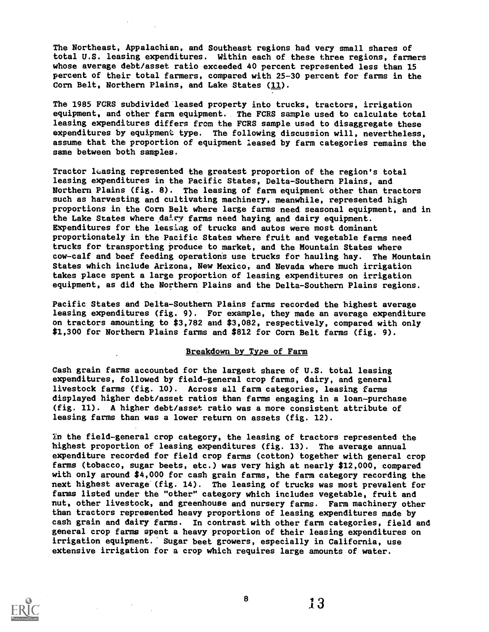The Northeast, Appalachian, and Southeast regions had very small shares of total U.S. leasing expenditures. Within each of these three regions, farmers whose average debt/asset ratio exceeded 40 percent represented less than 15 percent of their total farmers, compared with 25-30 percent for farms in the Corn Belt, Northern Plains, and Lake States (11).

The 1985 FCRS subdivided leased property into trucks, tractors, irrigation equipment, and other farm equipment. The FCRS sample used to calculate total leasing expenditures differs from the FCRS sample used to disaggregate these expenditures by equipment type. The following discussion will, nevertheless, assume that the proportion of equipment leased by farm categories remains the same between both samples.

Tractor leasing represented the greatest proportion of the region's total leasing expenditures in the Pacific States, Delta-Southern Plains, and Northern Plains (fig. 8). The leasing of farm equipment other than tractors such as harvesting and cultivating machinery, meanwhile, represented high proportions in the Corn Belt where large farms need seasonal equipment, and in the Lake States where dairy farms need haying and dairy equipment. Expenditures for the leasing of trucks and autos were most dominant proportionately in the Pacific States where fruit and vegetable farms need trucks for transporting produce to market, and the Mountain States where cow-calf and beef feeding operations use trucks for hauling hay. The Mountain States which include Arizona, New Mexico, and Nevada where much irrigation takes place spent a large proportion of leasing expenditures on irrigation equipment, as did the Northern Plains and the Delta-Southern Plains regions.

Pacific States and Delta-Southern Plains farms recorded the highest average leasing expenditures (fig. 9). For example, they made an average expenditure on tractors amounting to \$3,782 and \$3,082, respectively, compared with only \$1,300 for Northern Plains farms and \$812 for Corn Belt farms (fig. 9).

#### Breakdown by Type of Farm

Cash grain farms accounted for the largest share of U.S. total leasing expenditures, followed by field-general crop farms, dairy, and general livestock farms (fig. 10). Across all farm categories, leasing farms displayed higher debt/asset ratios than farms engaging in a loan-purchase (fig. 11). A higher debt/asset ratio was a more consistent attribute of leasing farms than was a lower return on assets (fig. 12).

In the field-general crop category, the leasing of tractors represented the highest proportion of leasing expenditures (fig. 13). The average annual expenditure recorded for field crop farms (cotton) together with general crop farms (tobacco, sugar beets, etc.) was very high at nearly \$12,000, compared with only around \$4,000 for cash grain farms, the farm category recording the next highest average (fig. 14). The leasing of trucks was most prevalent for farms listed under the "other" category which includes vegetable, fruit and nut, other livestock, and greenhouse and nursery farms. Farm machinery other than tractors represented heavy proportions of leasing expenditures made by cash grain and dairy farms. In contrast with other farm categories, field and general crop farms spent a heavy proportion of their leasing expenditures on irrigation equipment. Sugar beet growers, especially in California, use extensive irrigation for a crop which requires large amounts of water.



 $8 \t 13$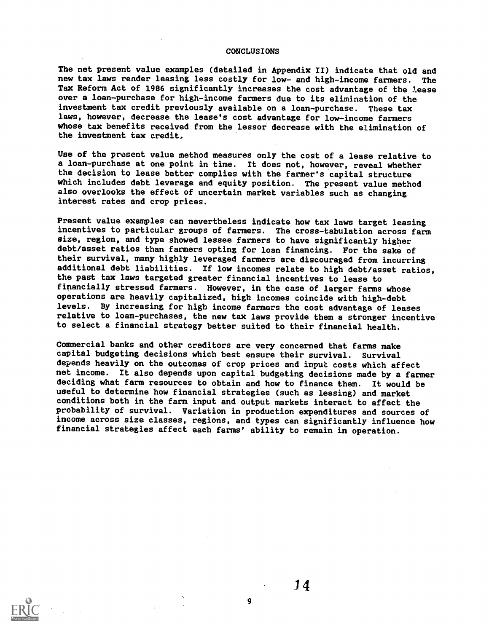#### CONCLUSIONS

The net present value examples (detailed in Appendix II) indicate that old and new tax laws render leasing less costly for low- and high-income farmers. The Tax Reform Act of 1986 significantly increases the cost advantage of the lease over a loan-purchase for high-income farmers due to its elimination of the investment tax credit previously available on a loan-purchase. These tax laws, however, decrease the lease's cost advantage for low-income farmers whose tax benefits received from the lessor decrease with the elimination of the investment tax credit,

Use of the present value method measures only the cost of a lease relative to a loan-purchase at one point in time. It does not, however, reveal whether the decision to lease better complies with the farmer's capital structure which includes debt leverage and equity position. The present value method also overlooks the effect of uncertain market variables such as changing interest rates and crop prices.

Present value examples can nevertheless indicate how tax laws target leasing incentives to particular groups of farmers. The cross-tabulation across farm size, region, and type showed lessee farmers to have significantly higher debt/asset ratios than farmers opting for loan financing. For the sake of their survival, many highly leveraged farmers are discouraged from incurring additional debt liabilities. If low incomes relate to high debt/asset ratios, the past tax laws targeted greater financial incentives to lease to financially stressed farmers. However, in the case of larger farms whose operations are heavily capitalized, high incomes coincide with high-debt levels. By increasing for high income farmers the cost advantage of leases relative to loan-purchases, the new tax laws provide them a stronger incentive to select a financial strategy better suited to their financial health.

Commercial banks and other creditors are very concerned that farms make capital budgeting decisions which best ensure their survival. Survival depends heavily on the outcomes of crop prices and input costs which affect net income. It also depends upon capital budgeting decisions made by a farmer deciding what farm resources to obtain and how to finance them. It would be useful to determine how financial strategies (such as leasing) and market conditions both in the farm input and output markets interact to affect the probability of survival. Variation in production expenditures and sources of income across size classes, regions, and types can significantly influence how financial strategies affect each farms' ability to remain in operation.

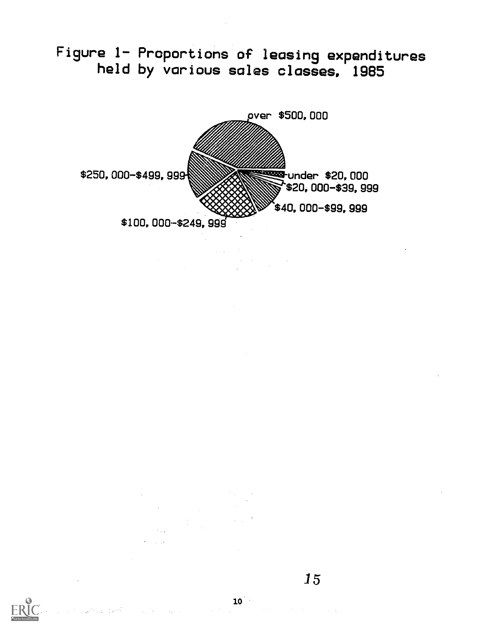Figure 1- Proportions of leasing expenditures held by various sales classes, 1985



15



 $\sim 10^{12}$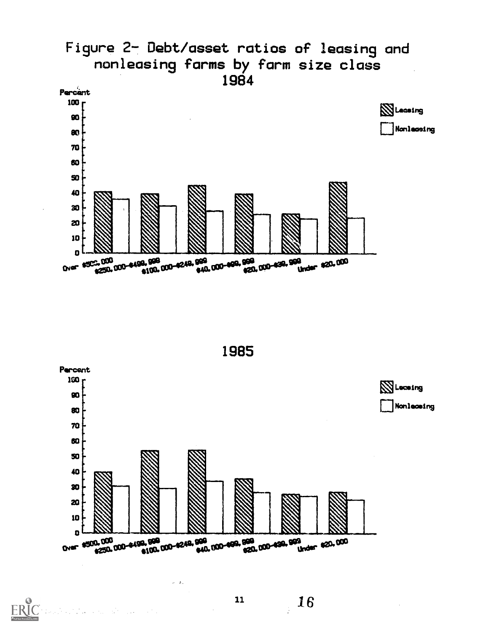





16

 $\sim$  .

 $\label{eq:1} \frac{1}{\sqrt{2}}\frac{1}{\sqrt{2}}\left(\frac{1}{\sqrt{2}}\right)^2\left(\frac{1}{\sqrt{2}}\right)^2\left(\frac{1}{\sqrt{2}}\right)^2\left(\frac{1}{\sqrt{2}}\right)^2\left(\frac{1}{\sqrt{2}}\right)^2\left(\frac{1}{\sqrt{2}}\right)^2.$ 

**ERIC**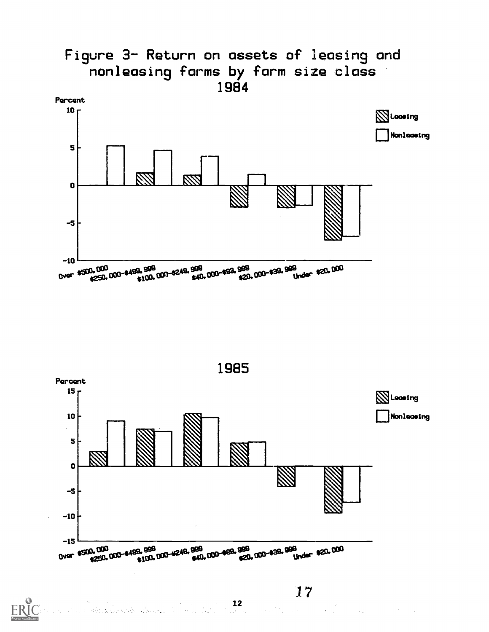

 $\Delta \sim 800$  km s  $^{-1}$ 

 $\frac{12}{1}$ 

 $\label{eq:1} \frac{1}{\sqrt{2}}\sum_{i=1}^N\frac{1}{\sqrt{2}}\sum_{i=1}^N\frac{1}{\sqrt{2}}\sum_{i=1}^N\frac{1}{\sqrt{2}}\sum_{i=1}^N\frac{1}{\sqrt{2}}\sum_{i=1}^N\frac{1}{\sqrt{2}}\sum_{i=1}^N\frac{1}{\sqrt{2}}\sum_{i=1}^N\frac{1}{\sqrt{2}}\sum_{i=1}^N\frac{1}{\sqrt{2}}\sum_{i=1}^N\frac{1}{\sqrt{2}}\sum_{i=1}^N\frac{1}{\sqrt{2}}\sum_{i=1}^N\frac{1$ 

รหัว 12 นิ้ว 25 นิ้ว หารักเคียง (1)

ERIC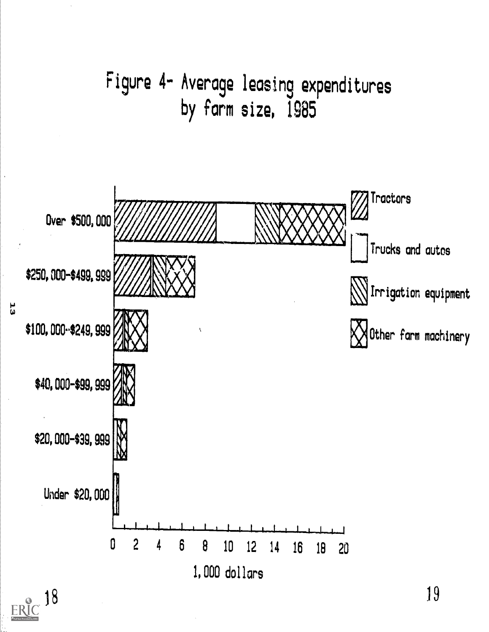

## 18 ERU

 $\mathbf{a}$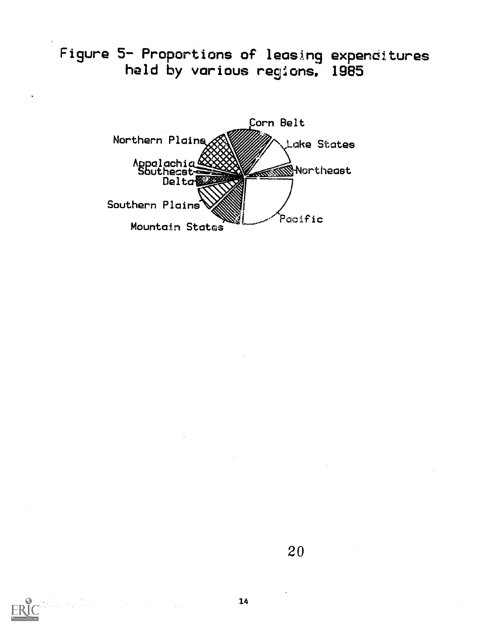Figure 5- Proportions of leasing expenditures held by various regions, 1985

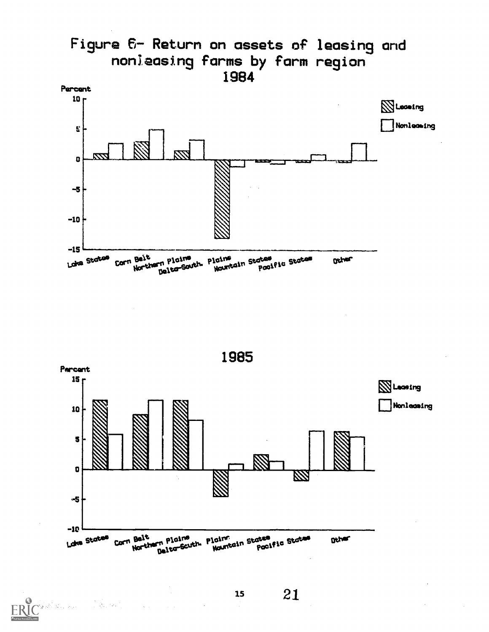



i i sa na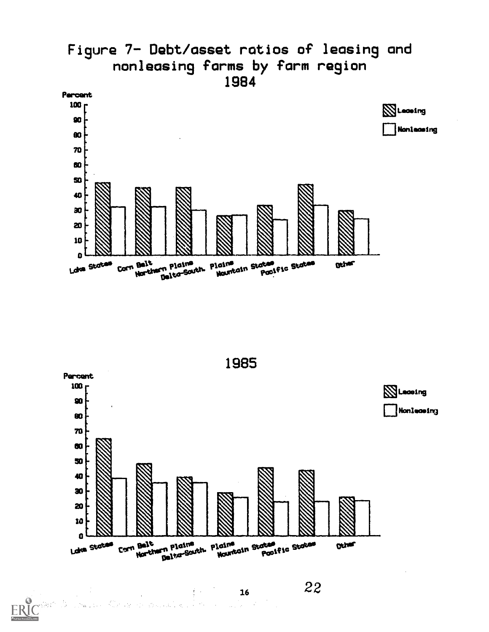



22

a jihar

 $\mathcal{P}_{\mathcal{A}}$ 

ERIC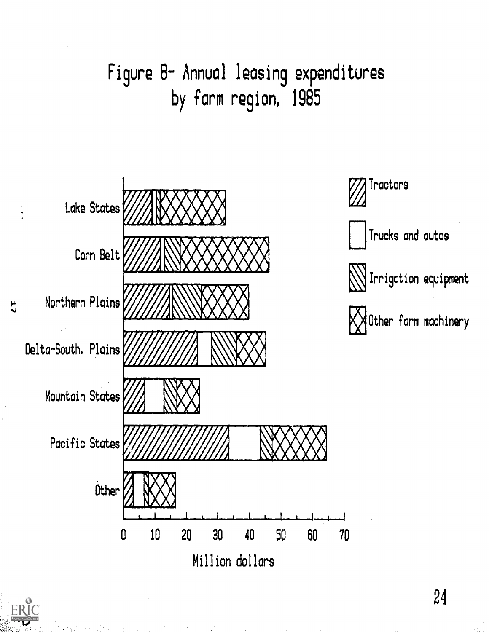

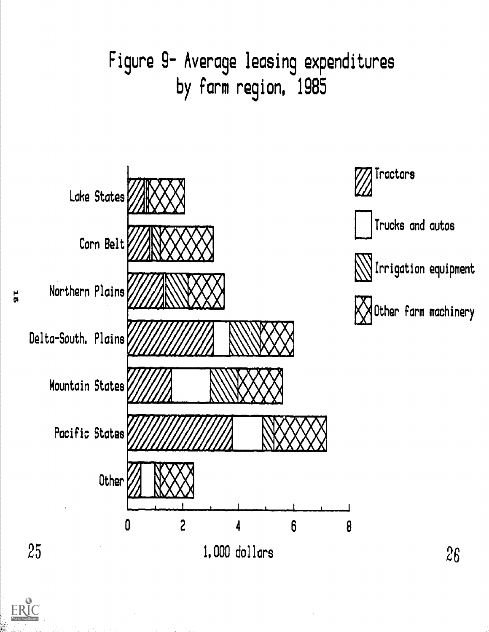







Irrigation equipment

**21** December **farm machinery** 

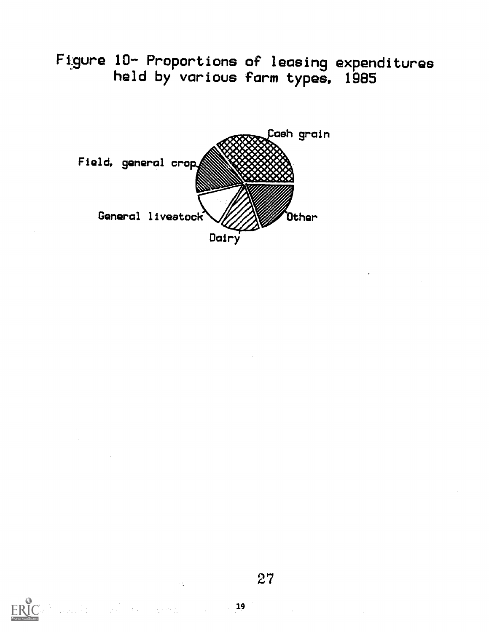Figure 10- Proportions of leasing expenditures<br>held by various farm types, 1985



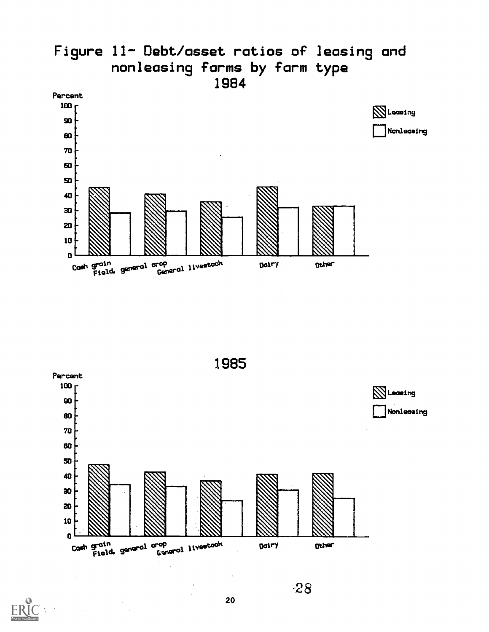



**ERI**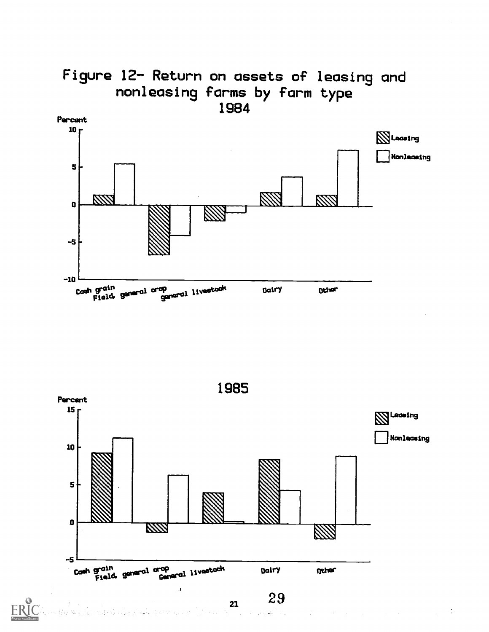

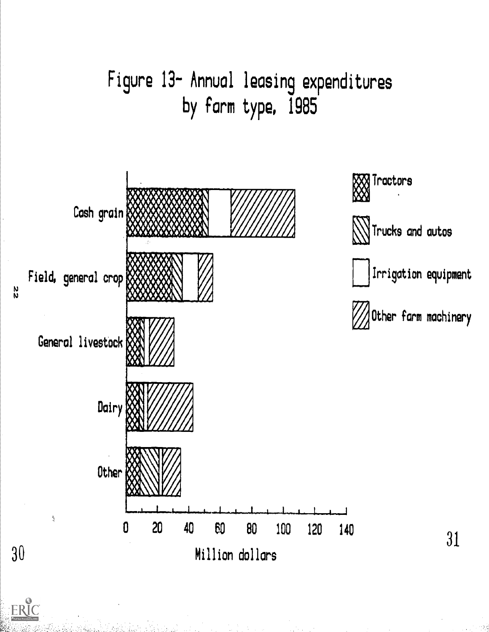

ERIC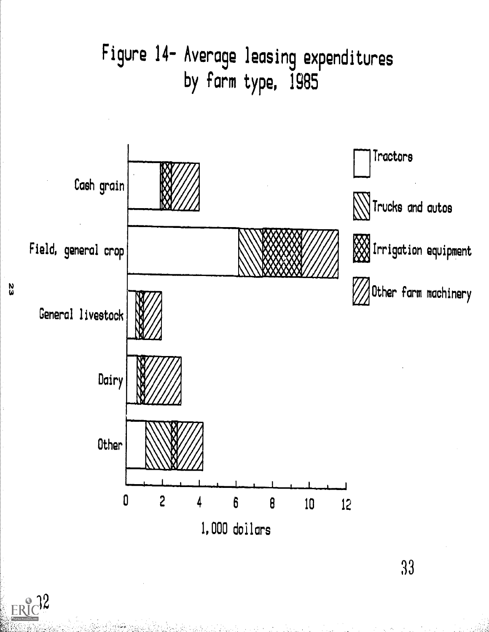

 $ERIC$ <sup>2</sup>

 $\frac{2}{3}$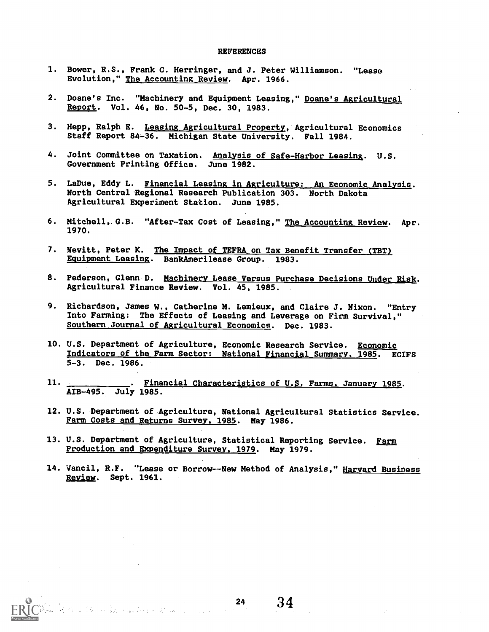#### **REFERENCES**

- 1. Bower, R.S., Frank C. Herringer, and J. Peter Williamson. "Lease Evolution," The Accounting Review. Apr. 1966.
- 2. Doane's Inc. "Machinery and Equipment Leasing," Doane's Agricultural Report. Vol. 46, No. 50-5, Dec. 30, 1983.
- 3. Hepp, Ralph E. Leasing Agricultural Property, Agricultural Economics Staff Report 84-36. Michigan State University. Fall 1984.
- 4. Joint Committee on Taxation. Analysis of Safe-Harbor Leasing. U.S. Government Printing Office. June 1982.
- 5. LaDue, Eddy L. Financial Leasing in Agriculture: An Economic Analysis. North Central Ragional Research Publication 303. North Dakota Agricultural Experiment Station. June 1985.
- 6. Mitchell, G.B. "After-Tax Cost of Leasing," The Accounting Review. Apr. 1970.
- 7. Nevitt, Peter K. The Impact of TEFRA on Tax Benefit Transfer (TBT) Equipment Leasing. BankAmerilease Group. 1983.
- 8. Pederson, Glenn D. Machinery Lease Versus Purchase Decisions Under Risk. Agricultural Finance Review. Vol. 45, 1985.
- 9. Richardson, James W., Catherine M. Lemieux, and Claire J. Nixon. "Entry Into Farming: The Effects of Leasing and Leverage on Firm Survival," Southern Journal of Agricultural Economics. Dec. 1983.
- 10. U.S. Department of Agriculture, Economic Research Service. Economic Indicators of the Farm Sector: National Financial Summary, 1985. ECIFS 5-3. Dec. 1986.
- 11. **. . . . . . . . . . . . Financial Characteristics of U.S. Farms, January 1985.** AIB-495. July 1985.
- 12. U.S. Department of Agriculture, National Agricultural Statistics Service. Farm Costs and Returns Survey, 1985. May 1986.
- 13. U.S. Department of Agriculture, Statistical Reporting Service. Farm Production and Expenditure Survey, 1979. May 1979.

 $\frac{1}{2}$  ,  $\frac{1}{2}$ 

14. Vancil, R.F. "Lease or Borrow--New Method of Analysis," Harvard Business Review. Sept. 1961.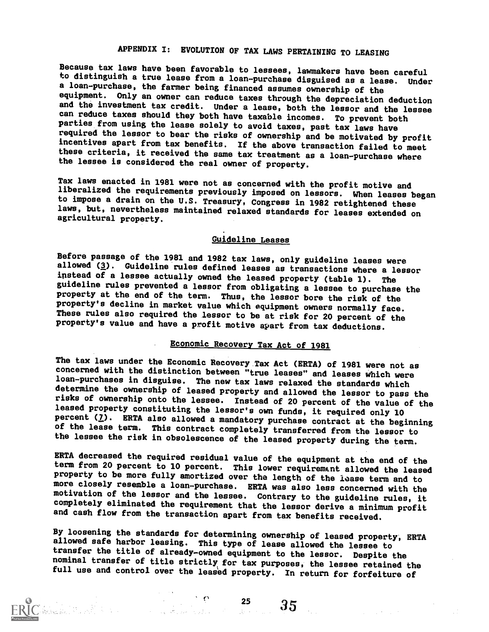### APPENDIX I: EVOLUTION OF TAX LAWS PERTAINING TO LEASING

Because tax laws have been favorable to lessees, lawmakers have been careful<br>to distinguish a true lease from a loan-purchase disguised as a lease. Under a loan-purchase, the farmer being financed assumes ownership of the equipment. Only an owner can reduce taxes through the depreciation deduction and the investment tax credit. Under a lease, both the lessor and the lessee can reduce taxes should they both have taxable incomes. To prevent both parties from using the lease solely to avoid taxes, past tax laws have required the lessor to bear the risks of ownership and be motivated by profit these criteria, it received the same tax treatment as a loan-purchase where the lessee is considered the real owner of property.

Tax laws enacted in 1981 were not as concerned with the profit motive and to impose a drain on the U.S. Treasury, Congress in 1982 retightened these laws, but, nevertheless maintained relaxed standards for leases extended on agricultural property.

#### Guideline Leases

Before passage of the 1981 and 1982 tax laws, only guideline leases were allowed (3). Guideline rules defined leases as transactions where a lessor instead of a lessee actually owned the leased property (table 1). The guideline rules prevented a lessor from obligating a lessee to purchase the property at the end of the term. Thus, the lessor bore the risk of the property's decline in market value which equipment owners normally face. These rules also required the lessor to be at risk for 20 percent of the property's value and have a profit motive apart from tax deductions.

#### Economic Recovery Tax Act of 1981

The tax laws under the Economic Recovery Tax Act (ERTA) of 1981 were not as concerned with the distinction between "true leases" and leases which were loan-purchases in disguise. The new tax laws relaxed the standards which risks of ownership onto the lessee. Instead of 20 percent of the value of the leased property constituting the lessor's own funds, it required only 10 percent ( $\overline{2}$ ). ERTA also allowed a mandatory purchase contract at the beginning of the lease term. This contract completely transferred from the lessor to the lessee the risk in obsolescence of the leased property during the term.

ERTA decreased the required residual value of the equipment at the end of the<br>term from 20 percent to 10 percent. This lower requirement allowed the leased<br>property to be more fully amortized over the length of the lease t motivation of the lessor and the lessee. Contrary to the guideline rules, it completely eliminated the requirement that the lessor derive a minimum profit and cash flow from the transaction apart from tax benefits received.

By loosening the standards for determining ownership of leased property, ERTA allowed safe harbor leasing. This type of lease allowed the lessee to transfer the title of already-owned equipment to the lessor. Despite the n full use and control over the leased property. In return for forfeiture of

for  $\sim$  35  $\sim$  35  $\sim$  35  $\sim$  35  $\sim$  35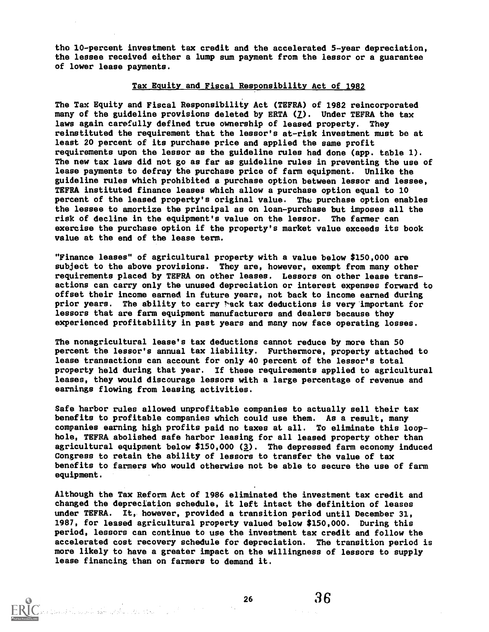the 10-percent investment tax credit and the accelerated 5-year depreciation, the lessee received either a lump sum payment from the lessor or a guarantee of lower lease payments.

#### Tax Equity and Fiscal Responsibility Act of 1982

The Tax Equity and Fiscal Responsibility Act (TEFRA) of 1982 reincorporated many of the guideline provisions deleted by ERTA  $(2)$ . Under TEFRA the tax laws again carefully defined true ownership of leased property. They reinstituted the requirement that the lessor's at-risk investment must be at least 20 percent of its purchase price and applied the same profit requirements upon the lessor as the guideline rules had done (app. table 1). The new tax laws did not go as far as guideline rules in preventing the use of lease payments to defray the purchase price of farm equipment. Unlike the guideline rules Which prohibited a purchase option between lessor and lessee, TEFRA instituted finance leases which allow a purchase option equal to 10 percent of the leased property's original value. Thc purchase option enables the lessee to amortize the principal as on loan-purchase but imposes all the risk of decline in the equipment's value on the lessor. The farmer can exercise the purchase option if the property's market value exceeds its book value at the end of the lease term.

"Finance leases" of agricultural property with a value below \$150,000 are subject to the above provisions. They are, however, exempt from many other requirements placed by TEFRA on other leases. Lessors on other lease transactions can carry only the unused depreciation or interest expenses forward to offset their income earned in future years, not back to income earned during prior years. The ability to carry back tax deductions is very important for lessors that are farm equipment manufacturers and dealers because they experienced profitability in past years and many now face operating losses.

The nonagricultural lease's tax deductions cannot reduce by more than 50 percent the lessor's annual tax liability. Furthermore, property attached to lease transactions can account for only 40 percent of the lessor's total property held during that year. If these requirements applied to agricultural leases, they would discourage lessors with a large percentage of revenue and earnings flowing from leasing activities.

Safe harbor rules allowed unprofitable companies to actually sell their tax benefits to profitable companies Which could use them. As a result, many companies earning high profits paid no taxes at all. To eliminate this loophole, TEFRA abolished safe harbor leasing for all leased property other than agricultural equipment below \$150,000 (3). The depressed farm economy induced Congress to retain the ability of lessors to transfer the value of tax benefits to farmers who would otherwise not be able to secure the use of farm equipment.

Although the Tax Reform Act of 1986 eliminated the investment tax credit and changed the depreciation schedule, it left intact the definition of leases under TEFRA. It, however, provided a transition period until December 31, 1987, for leased agricultural property valued below \$150,000. During this period, lessors can continue to use the investment tax credit and follow the accelerated cost recovery schedule for depreciation. The transition period is more likely to have a greater impact on the willingness of lessors to supply lease financing than on farmers to demand it.

ง<br>เป็นเดอร์ ชั้น และเคลื่องเพื่อที่ แล้วต้น แต่สนานใหม่ ( ) - และเคลื่อง ( ) - เคลื่อง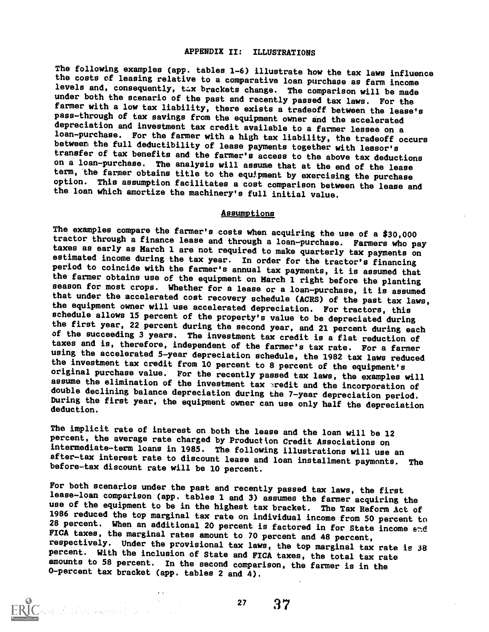#### APPENDIX II: ILLUSTRATIONS

The following examples (app. tables 1-6) illustrate how the tax laws influence the costs of leasing relative to a comparative loan purchase as farm income levels and, consequently, tax brackets change. The comparison will be made under both the scenario of the past and recently passed tax laws. For the farmer with a low tax liability, there exists a tradeoff between the lease's pass-through of tax savings from the equipment owner and the accelerated loan-purchase. For the farmer with a high tax liability, the tradeoff occurs between the full deductibility of lease payments together with lessor's transfer of tax benefits and the farmer's access to the above tax deductions on a loan-purchase. The analysis will assume that at the end of the lease term, the farmer obtains title to the equipment by exercising the purchase option. This assumption facilitates a cost comparison between the lease and the loan which amortize the machinery's full initial value.

#### Assumptions

The examples compare the farmer's costs when acquiring the use of a \$30,000 tractor through a finance lease and through a loan-purchase. Farmers who pay<br>taxes as early as March 1 are not required to make quarterly tax payments on estimated income during the tax year. In order for the tractor's financing period to coincide with the farmer's annual tax payments, it is assumed that the farmer obtains use of the equipment on March 1 right before the planting season for most crops. Whether for a lease or a loan-purchase, it is assumed that under the accelerated cost recovery schedule (ACRS) of the past tax laws, the equipment owner will use accelerated depreciation. For tractors, this schedule allows 15 percent of the property's value to be depreciated during<br>the first year, 22 percent during the second year, and 21 percent during each of the succeeding 3 years. The investment tax credit is a flat reduction of taxes and is, therefore, independent of the farmer's tax rate. For a farmer using the accelerated 5-year depreciation schedule, the 1982 tax laws reduced the investment tax credit from 10 percent to 8 percent of the equipment's original purchase value. For the recently passed tax laws, the examples will assume the elimination of the investment tax aredit and the incorporation of double declining balance depreciation during the 7-year depreciation period. During the first year, the equipment owner can use only half the depreciation deduction.

The implicit rate of interest on both the lease and the loan will be 12 percent, the average rate charged by Production Credit Associations on intermediate-term loans in 1985. The following illustrations will use an after-tax interest rate to discount lease and loan installment paymonts. The before-tax discount rate will be 10 percent.

For both scenarios under the past and recently passed tax laws, the first lease-loan comparison (app. tables 1 and 3) assumes the farmer acquiring the use of the equipment to be in the highest tax bracket. The Tax Reform Act of 1986 reduced the top marginal tax rate on individual income from 50 percent to 28 percent. When an additional 20 percent is factored in for State income  $\epsilon$ nd FICA taxes, the marginal rates amount to 70 percent and 48 percent, respectively. Under the provisional tax laws, the top marginal tax rate is 38 percent. With the inclusion of State and FICA taxes, the total tax rate amounts to 58 percent. In the second comparison, the farmer is in the 0-pereent tax bracket (app. tables 2 and 4).

<sup>27</sup> 37

an de la Constitution (m. 1970).<br>1938 : Anne Monte (m. 1989)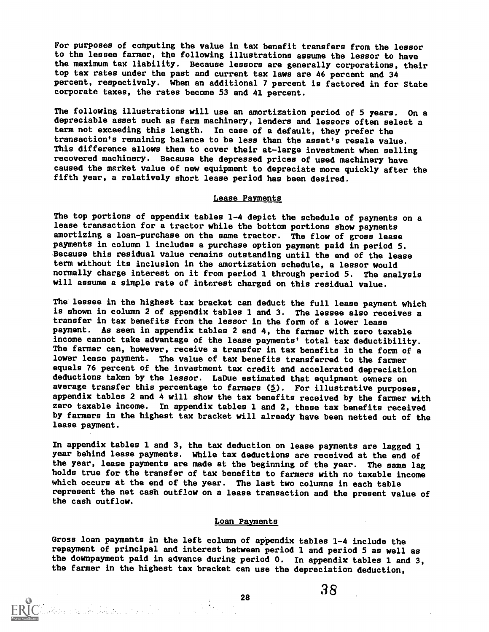For purposes of computing the value in tax benefit transfers from the lessor to the lessee farmer, the following illustrations assume the lessor to have the maximum tax liability. Because lessors are generally corporations, their top tax rates under the past and current tax laws are 46 percent and 34 percent, respectively. When an additional 7 percent is factored in for State corporate taxes, the rates become 53 and 41 percent.

The following illustrations will use an amortization period of 5 years. On a depreciable asset such as farm machinery, lenders and lessors often select a term not exceeding this length. In case of a default, they prefer the transaction's remaining balance to be less than the asset's resale value. This difference allows them to cover their at-large investment when selling recovered machinery. Because the depressed prices of used machinery have caused the market value of new equipment to depreciate more quickly after the fifth year, a relatively short lease period has been desired.

#### Lease Payments

The top portions of appendix tables 1-4 depict the schedule of payments on a lease transaction for a tractor while the bottom portions show payments amortizing a loan-purchase on the same tractor. The flow of gross lease payments in column 1 includes a purchase option payment paid in period 5. Because this residual value remains outstanding until the end of the lease term without its inclusion in the amortization schedule, a lessor would normally charge interest on it from period 1 through period 5. The analysis will assume a simple rate of interest charged on this residual value.

The lessee in the highest tax bracket can deduct the full lease payment Which is shown in column 2 of appendix tables 1 and 3. The lessee also receives a transfer in tax benefits from the lessor in the form of a lower lease payment. As seen in appendix tables 2 and 4, the farmer with zero taxable income cannot take advantage of the lease payments' total tax deductibility. lower lease payment. The value of tax benefits transferred to the farmer equals 76 percent of the investment tax credit and accelerated depreciation deductions taken by the lessor. LaDue estimated that equipment owners on average transfer this percentage to farmers  $(5)$ . For illustrative purposes, appendix tables 2 and 4 will show the tax benefits received by the farmer with zero taxable income. In appendix tables 1 and 2, these tax benefits received by farmers in the highest tax bracket will already have been netted out of the lease payment.

In appendix tables 1 and 3, the tax deduction on lease payments are lagged 1 year behind lease payments. While tax deductions are received at the end of the year, lease payments are made at the beginning of the year. The same lag holds true for the transfer of tax benefits to farmers with no taxable income which occurs at the end of the year. The last two columns in each table represent the net cash outflow on a lease transaction and the present value of the cash outflow.

#### Loan Payments

Gross loan payments in the left column of appendix tables 1-4 include the repayment of principal and interest between period 1 and period 5 as well as the downpayment paid in advance during period 0. In appendix tables 1 and 3, the farmer in the highest tax bracket can use the depreciation deduction,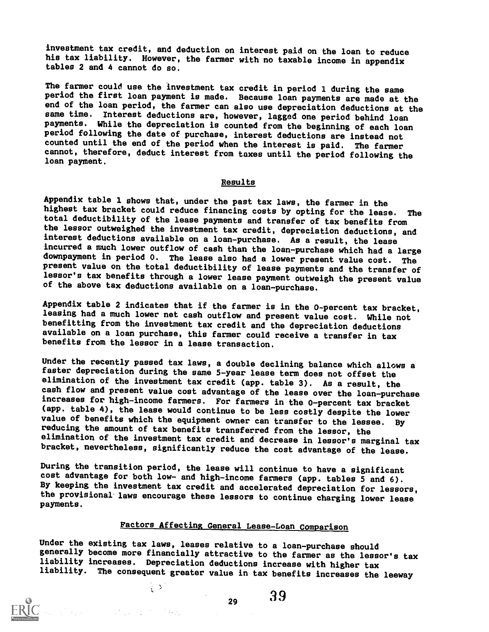investment tax credit, and deduction on interest paid on the loan to reduce his tax liability. However, the farmer with no taxable income in appendix tables 2 and 4 cannot do so.

The farmer could use the investment tax credit in period 1 during the same period the first loan payment is made. Because loan payments are made at the end of the loan period, the farmer can also use depreciation deductions at the same time. Interest deductions are, however, lagged one period behind loan payments. While the depreciation is counted from the beginning of each loan period following the date of purchase, interest deductions are instead not counted until the end of the period when the interest is paid. The farmer cannot, therefore, deduct interest from taxes until the period following the loan payment.

#### Results

Appendix table 1 shows that, under the past tax laws, the farmer in the highest tax bracket could reduce financing costs by opting for the lease. The total deductibility of the lease payments and transfer of tax benefits from the lessor outweighed the investment tax credit, depreciation deductions, and interest deductions available on a loan-purchase. As a result, the lease incurred a much lower outflow of cash than the loan-purchase which had a large downpayment in period 0. The lease also had a lower present value cost. The present value on the total deductibility of lease payments and the transfer of lessor's tax benefits through a lower lease payment outweigh the present value of the above tax deductions available on a loan-purchase.

Appendix table 2 indicates that if the farmer is in the 0-percent tax bracket, leasing had a much lower net cash outflow and present value cost. While not benefitting from the investment tax credit and the depreciation deductions available on a loan purchase, this farmer could receive a transfer in tax benefits from the lessor in a lease transaction.

Under the recently passed tax laws, a double declining balance which allows a faster depreciation during the same 5-year lease term does not offset the elimination of the investment tax credit (app. table 3). As a result, the cash flow and present value cost advantage of the lease over the loan-purchase increases for high-income farmers. For farmers in the 0-percent tax bracket (app. table 4), the lease would continue to be less costly despite the lower<br>value of benefits which the equipment owner can transfer to the lessee. By reducing the amount of tax benefits transferred from the lessor, the elimination of the investment tax credit and decrease in lessor's marginal tax bracket, nevertheless, significantly reduce the cost advantage of the lease.

During the transition period, the lease will continue to have a significant cost advantage for both low- and high-income farmers (app. tables 5 and 6). By keeping the investment tax credit and accelerated depreciation for lessors, the provisional laws encourage these lessors to continue charging lower lease payments.

#### Factors Affecting General Lease-Loan Comparison

Under the existing tax laws, leases relative to a loan-purchase should generally become more financially attractive to the farmer as the lessor's tax liability increases. Depreciation deductions increase with higher tax liability. The consequent greater value in tax benefits increases the leeway

$$
\mathbf{r}_{\mathrm{max}}
$$

 $\mathbb{R}^3$ 

 $_{29}$  39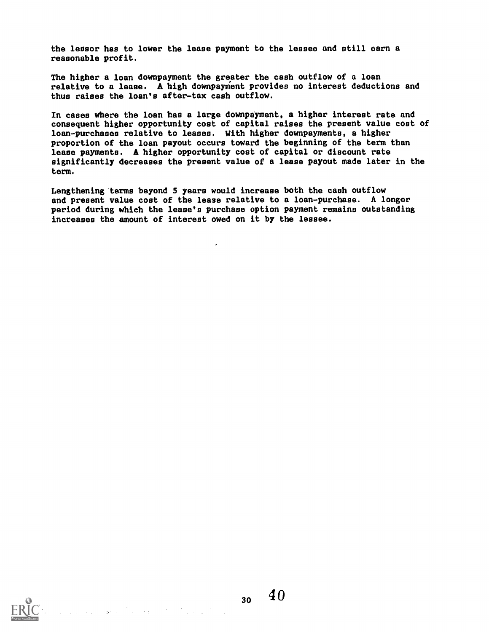the lessor has to lower the lease payment to the lessee and still earn a reasonable profit.

The higher a loan downpayment the greater the cash outflow of a loan relative to a lease. A high downpayment provides no interest deductions and thus raises the loan's after-tax cash outflow.

In cases where the loan has a large downpayment, a higher interest rate and consequent higher opportunity cost of capital raises the present value cost of loan-purchases relative to leases. With higher downpayments, a higher proportion of the loan payout occurs toward the beginning of the term than lease payments. A higher opportunity coot of capital or discount rate significantly decreases the present value of a lease payout made later in the term.

Lengthening terms beyond 5 years would increase both the cash outflow and present value cost of the lease relative to a loan-purchase. A longer period during which the lease's purchase option payment remains outstanding increases the amount of interest owed on it by the lessee.

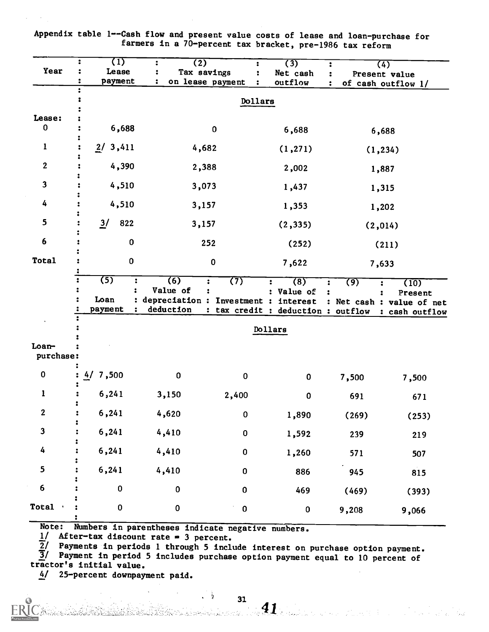| Dollars<br>Lease:<br>$\bf{0}$<br>6,688<br>$\pmb{0}$<br>6,688<br>6,688<br>$\mathbf{1}$<br>2/<br>3,411<br>4,682<br>(1, 271)<br>(1, 234)<br>$\boldsymbol{2}$<br>4,390<br>2,388<br>2,002<br>1,887<br>$\mathbf{3}$<br>4,510<br>3,073<br>1,437<br>1,315<br>4<br>4,510<br>3,157<br>1,353<br>1,202<br>5<br>$\frac{3}{2}$<br>822<br>3,157<br>(2, 335)<br>(2,014)<br>6<br>0<br>252<br>(252)<br>(211)<br>$\pmb{0}$<br>$\pmb{0}$<br>7,622<br>7,633<br>(5)<br>(6)<br>(7)<br>:<br>(8)<br>$\ddot{\phantom{a}}$<br>(9)<br>(10)<br>:<br>Value of<br>Value of<br>$\ddot{\cdot}$<br>Present<br>Loan<br>: depreciation : Investment : interest<br>: Net cash : value of net<br>deduction<br>payment<br>: tax credit : deduction : outflow<br>Dollars<br>purchase:<br>0<br>7,500<br>4/<br>0<br>$\pmb{0}$<br>$\pmb{0}$<br>7,500<br>7,500<br>6,241<br>1<br>3,150<br>2,400<br>$\pmb{0}$<br>691<br>671<br>$\boldsymbol{2}$<br>6,241<br>4,620<br>$\mathbf 0$<br>1,890<br>(269)<br>$\mathbf{3}$ | <b>Year</b> | $\overline{(1)}$<br>Lease<br>payment | $\overline{(2)}$<br>Tax savings<br>on lease payment<br>1 |           | (3)<br>Net cash<br>outflow |     | (4)<br>Present value<br>of cash outflow 1/ |
|----------------------------------------------------------------------------------------------------------------------------------------------------------------------------------------------------------------------------------------------------------------------------------------------------------------------------------------------------------------------------------------------------------------------------------------------------------------------------------------------------------------------------------------------------------------------------------------------------------------------------------------------------------------------------------------------------------------------------------------------------------------------------------------------------------------------------------------------------------------------------------------------------------------------------------------------------------------------|-------------|--------------------------------------|----------------------------------------------------------|-----------|----------------------------|-----|--------------------------------------------|
| <b>Total</b>                                                                                                                                                                                                                                                                                                                                                                                                                                                                                                                                                                                                                                                                                                                                                                                                                                                                                                                                                         |             |                                      |                                                          |           |                            |     |                                            |
| Loan-                                                                                                                                                                                                                                                                                                                                                                                                                                                                                                                                                                                                                                                                                                                                                                                                                                                                                                                                                                |             |                                      |                                                          |           |                            |     |                                            |
|                                                                                                                                                                                                                                                                                                                                                                                                                                                                                                                                                                                                                                                                                                                                                                                                                                                                                                                                                                      |             |                                      |                                                          |           |                            |     |                                            |
|                                                                                                                                                                                                                                                                                                                                                                                                                                                                                                                                                                                                                                                                                                                                                                                                                                                                                                                                                                      |             |                                      |                                                          |           |                            |     |                                            |
|                                                                                                                                                                                                                                                                                                                                                                                                                                                                                                                                                                                                                                                                                                                                                                                                                                                                                                                                                                      |             |                                      |                                                          |           |                            |     |                                            |
|                                                                                                                                                                                                                                                                                                                                                                                                                                                                                                                                                                                                                                                                                                                                                                                                                                                                                                                                                                      |             |                                      |                                                          |           |                            |     |                                            |
|                                                                                                                                                                                                                                                                                                                                                                                                                                                                                                                                                                                                                                                                                                                                                                                                                                                                                                                                                                      |             |                                      |                                                          |           |                            |     |                                            |
|                                                                                                                                                                                                                                                                                                                                                                                                                                                                                                                                                                                                                                                                                                                                                                                                                                                                                                                                                                      |             |                                      |                                                          |           |                            |     |                                            |
|                                                                                                                                                                                                                                                                                                                                                                                                                                                                                                                                                                                                                                                                                                                                                                                                                                                                                                                                                                      |             |                                      |                                                          |           |                            |     |                                            |
|                                                                                                                                                                                                                                                                                                                                                                                                                                                                                                                                                                                                                                                                                                                                                                                                                                                                                                                                                                      |             |                                      |                                                          |           |                            |     |                                            |
|                                                                                                                                                                                                                                                                                                                                                                                                                                                                                                                                                                                                                                                                                                                                                                                                                                                                                                                                                                      |             |                                      |                                                          |           |                            |     |                                            |
|                                                                                                                                                                                                                                                                                                                                                                                                                                                                                                                                                                                                                                                                                                                                                                                                                                                                                                                                                                      |             |                                      |                                                          |           |                            |     | : cash outflow                             |
|                                                                                                                                                                                                                                                                                                                                                                                                                                                                                                                                                                                                                                                                                                                                                                                                                                                                                                                                                                      |             |                                      |                                                          |           |                            |     |                                            |
|                                                                                                                                                                                                                                                                                                                                                                                                                                                                                                                                                                                                                                                                                                                                                                                                                                                                                                                                                                      |             |                                      |                                                          |           |                            |     |                                            |
|                                                                                                                                                                                                                                                                                                                                                                                                                                                                                                                                                                                                                                                                                                                                                                                                                                                                                                                                                                      |             |                                      |                                                          |           |                            |     |                                            |
|                                                                                                                                                                                                                                                                                                                                                                                                                                                                                                                                                                                                                                                                                                                                                                                                                                                                                                                                                                      |             |                                      |                                                          |           |                            |     |                                            |
|                                                                                                                                                                                                                                                                                                                                                                                                                                                                                                                                                                                                                                                                                                                                                                                                                                                                                                                                                                      |             |                                      |                                                          |           |                            |     | (253)                                      |
|                                                                                                                                                                                                                                                                                                                                                                                                                                                                                                                                                                                                                                                                                                                                                                                                                                                                                                                                                                      |             | 6,241                                | 4,410                                                    | $\pmb{0}$ | 1,592                      | 239 | 219                                        |
| 4<br>6,241<br>4,410<br>$\pmb{0}$<br>1,260<br>571<br>507                                                                                                                                                                                                                                                                                                                                                                                                                                                                                                                                                                                                                                                                                                                                                                                                                                                                                                              |             |                                      |                                                          |           |                            |     |                                            |
| 5<br>6,241<br>4,410<br>886<br>$\pmb{0}$<br>945<br>815                                                                                                                                                                                                                                                                                                                                                                                                                                                                                                                                                                                                                                                                                                                                                                                                                                                                                                                |             |                                      |                                                          |           |                            |     |                                            |
| $6\phantom{a}$<br>$\pmb{0}$<br>$\mathbf 0$<br>$\pmb{0}$<br>469<br>(469)                                                                                                                                                                                                                                                                                                                                                                                                                                                                                                                                                                                                                                                                                                                                                                                                                                                                                              |             |                                      |                                                          |           |                            |     | (393)                                      |
| Total<br>$\pmb{0}$<br>$\pmb{0}$<br>$\pmb{0}$<br>0<br>9,208<br>9,066                                                                                                                                                                                                                                                                                                                                                                                                                                                                                                                                                                                                                                                                                                                                                                                                                                                                                                  |             |                                      |                                                          |           |                            |     |                                            |

Appendix table 1--Cash flow and present value costs of lease and loan-purchase for farmers in a 70-percent tax bracket, pre-1986 tax reform

Note: Numbers in parentheses indicate negative numbers.

 $1/$  After-tax discount rate = 3 percent.

 $\overline{2}$ / Payments in periods 1 through 5 include interest on purchase option payment. 3/ Payment in period 5 includes purchase option payment equal to 10 percent of

 $\mathcal{L}^{\mathcal{L}}(\mathcal{Q})$ 

tractor's initial value.

4/ 25-percent downpayment paid.

 $\frac{31}{24}$  .  $\frac{31}{4}$  ,  $\frac{31}{4}$  ,  $\frac{31}{4}$  ,  $\frac{31}{4}$  ,  $\frac{31}{4}$  ,  $\frac{31}{4}$  ,  $\frac{31}{4}$  ,  $\frac{31}{4}$  ,  $\frac{31}{4}$  ,  $\frac{31}{4}$  ,  $\frac{31}{4}$  ,  $\frac{31}{4}$  ,  $\frac{31}{4}$  ,  $\frac{31}{4}$  ,  $\frac{31}{4}$  ,  $\frac{31}{4}$  ,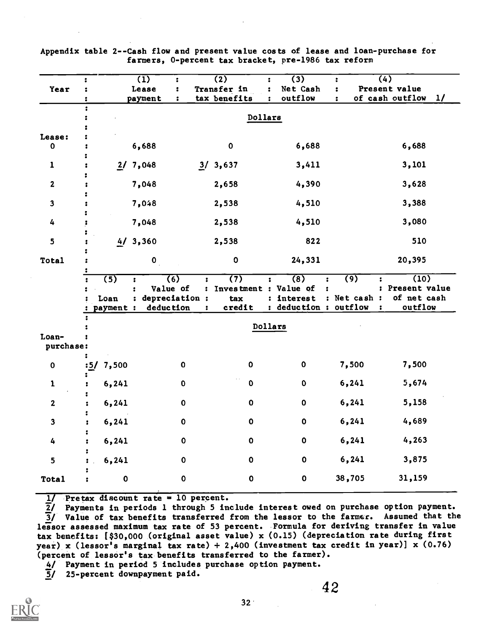|                     |                          | $\overline{1}$   |                                                            | $\overline{(2)}$                                           |              | $\overline{(3)}$                           |                      | ÷                                | (4)                                               |    |
|---------------------|--------------------------|------------------|------------------------------------------------------------|------------------------------------------------------------|--------------|--------------------------------------------|----------------------|----------------------------------|---------------------------------------------------|----|
| Year                | :                        | Lease<br>payment | ÷<br>$\ddot{\bullet}$                                      | Transfer in<br>tax benefits                                | $\mathbf{r}$ | Net Cash<br>outflow                        |                      | ÷<br>÷                           | Present value<br>of cash outflow                  | 1/ |
|                     |                          |                  |                                                            |                                                            |              |                                            |                      |                                  |                                                   |    |
|                     |                          |                  |                                                            | Dollars                                                    |              |                                            |                      |                                  |                                                   |    |
| Lease:<br>$\pmb{0}$ |                          | 6,688            |                                                            | $\mathbf 0$                                                |              | 6,688                                      |                      |                                  | 6,688                                             |    |
| 1                   |                          | 2/7,048          |                                                            | 3/3,637                                                    |              | 3,411                                      |                      |                                  | 3,101                                             |    |
| $\mathbf{2}$        |                          | 7,048            |                                                            | 2,658                                                      |              | 4,390                                      |                      |                                  | 3,628                                             |    |
| $\mathbf{3}$        |                          | 7,048            |                                                            | 2,538                                                      |              | 4,510                                      |                      |                                  | 3,388                                             |    |
| 4                   |                          | 7,048            |                                                            | 2,538                                                      |              | 4,510                                      |                      |                                  | 3,080                                             |    |
| 5                   |                          | 4/3,360          |                                                            | 2,538                                                      |              | 822                                        |                      |                                  | 510                                               |    |
| Total               |                          | $\mathbf{o}$     |                                                            | $\mathbf 0$                                                |              | 24,331                                     |                      |                                  | 20,395                                            |    |
|                     | (5)<br>Loan<br>payment : |                  | $\overline{(6)}$<br>Value of<br>depreciation:<br>deduction | $\overline{(7)}$<br>Investment : Value of<br>tax<br>credit |              | (8)<br>: interest<br>: deduction : outflow | $\ddot{\phantom{a}}$ | $\overline{(9)}$<br>: Net cash : | (10)<br>: Present value<br>of net cash<br>outflow |    |
|                     |                          |                  |                                                            |                                                            |              | Dollars                                    |                      |                                  |                                                   |    |
| Loan-<br>purchase:  |                          |                  |                                                            |                                                            |              |                                            |                      |                                  |                                                   |    |
| $\mathbf 0$         | :5/7,500                 |                  | $\mathbf 0$                                                | $\mathbf{o}$                                               |              | $\pmb{0}$                                  |                      | 7,500                            | 7,500                                             |    |
| $\mathbf{1}$        | 6,241                    |                  | $\mathbf 0$                                                | $\pmb{0}$                                                  |              | $\mathbf 0$                                |                      | 6,241                            | 5,674                                             |    |
| 2                   | 6,241                    |                  | 0                                                          | $\pmb{0}$                                                  |              | $\mathbf 0$                                |                      | 6,241                            | 5,158                                             |    |
| 3                   | 6,241                    |                  | $\mathbf 0$                                                | $\pmb{0}$                                                  |              | $\mathbf 0$                                |                      | 6,241                            | 4,689                                             |    |
| 4                   | 6,241                    |                  | $\pmb{0}$                                                  | $\pmb{0}$                                                  |              | $\pmb{0}$                                  |                      | 6,241                            | 4,263                                             |    |
| 5<br>Total          | 6,241<br>$\pmb{0}$       |                  | $\mathbf 0$<br>$\pmb{0}$                                   | $\mathbf 0$<br>$\pmb{0}$                                   |              | $\pmb{0}$<br>$\mathbf 0$                   |                      | 6,241<br>38,705                  | 3,875<br>31,159                                   |    |
|                     |                          |                  |                                                            |                                                            |              |                                            |                      |                                  |                                                   |    |

Appendix table 2--Ca8h flow and present value costs of lease and loan-purchase for farmers, 0-percent tax bracket, pre-1986 tax reform

 $1/$  Pretax discount rate = 10 percent.

I/ Payments in periods 1 through 5 include interest owed on purchase option payment.  $3/$  Value of tax benefits transferred from the lessor to the farmer. Assumed that the lessor assessed maximum tax rate of 53 percent. Formula for deriving transfer in value tax benefits: [\$30,000 (original asset value) x (0.15) (depreciation rate during first year) x (lessor's marginal tax rate) + 2,400 (investment tax credit in year)] x  $(0.76)$ (percent of lessor's tax benefits transferred to the farmer).

4/ Payment in period 5 includes purchase option payment.

3/ 25-percent downpayment paid.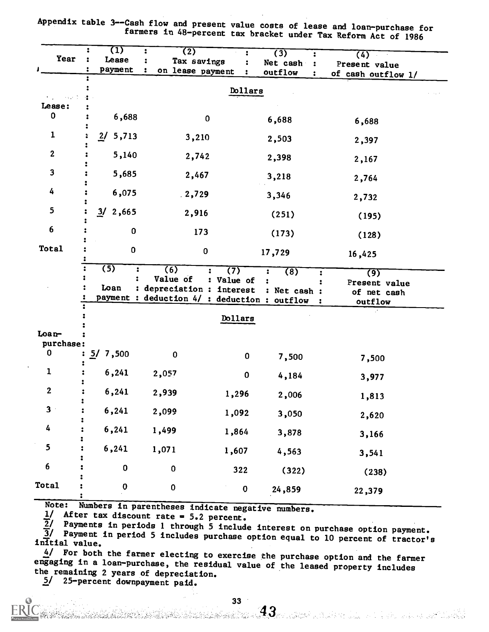| Year                      | $\overline{1}$<br>:<br>Lease<br>payment          | (2)<br>Tax savings<br>on lease payment                                                       |                   | $\overline{(3)}$<br>Net cash<br>outflow | 2<br>$\ddot{\cdot}$<br>$\ddot{\phantom{a}}$ | (4)<br>Present value<br>of cash outflow 1/     |  |
|---------------------------|--------------------------------------------------|----------------------------------------------------------------------------------------------|-------------------|-----------------------------------------|---------------------------------------------|------------------------------------------------|--|
| hiji masa b               |                                                  |                                                                                              | Dollars           |                                         |                                             |                                                |  |
| Lease:                    |                                                  |                                                                                              |                   |                                         |                                             |                                                |  |
| 0                         | 6,688                                            | $\bf{0}$                                                                                     |                   | 6,688                                   |                                             | 6,688                                          |  |
| 1                         | 2/<br>5,713                                      | 3,210                                                                                        |                   | 2,503                                   |                                             | 2,397                                          |  |
| $\boldsymbol{2}$          | 5,140                                            | 2,742                                                                                        |                   | 2,398                                   |                                             | 2,167                                          |  |
| $\mathbf{3}$              | 5,685                                            | 2,467                                                                                        |                   | 3,218                                   |                                             | 2,764                                          |  |
| 4                         | 6,075                                            | 2,729                                                                                        |                   | 3,346                                   |                                             | 2,732                                          |  |
| 5                         | 3/2,665                                          | 2,916                                                                                        |                   | (251)                                   |                                             | (195)                                          |  |
| 6                         | $\pmb{0}$                                        | 173                                                                                          |                   | (173)                                   |                                             | (128)                                          |  |
| Total                     | $\pmb{0}$                                        | 0                                                                                            |                   | 17,729                                  |                                             | 16,425                                         |  |
|                           | $\overline{(5)}$<br>$\ddot{\phantom{a}}$<br>Loan | (6)<br>Value of<br>: depreciation : interest<br>payment : deduction 4/ : deduction : outflow | (7)<br>: Value of | $\overline{(8)}$<br>: Net cash :        | :                                           | (9)<br>Present value<br>of net cash<br>outflow |  |
|                           |                                                  |                                                                                              | Dollars           |                                         |                                             |                                                |  |
| $\text{Loa}$<br>purchase: |                                                  |                                                                                              |                   |                                         |                                             |                                                |  |
| 0                         | 5/7,500                                          | $\mathbf 0$                                                                                  | 0                 | 7,500                                   |                                             | 7,500                                          |  |
| 1                         | 6,241                                            | 2,057                                                                                        | $\pmb{0}$         | 4,184                                   |                                             | 3,977                                          |  |
| $\boldsymbol{2}$          | 6,241                                            | 2,939                                                                                        | 1,296             | 2,006                                   |                                             | 1,813                                          |  |
| 3 <sup>1</sup>            | 6,241                                            | 2,099                                                                                        | 1,092             | 3,050                                   |                                             | 2,620                                          |  |
| 4                         | 6,241                                            | 1,499                                                                                        | 1,864             | 3,878                                   |                                             | 3,166                                          |  |
| 5                         | 6,241                                            | 1,071                                                                                        | 1,607             | 4,563                                   |                                             | 3,541                                          |  |
| 6                         | $\pmb{0}$                                        | $\pmb{0}$                                                                                    | 322               | (322)                                   |                                             | (238)                                          |  |
| Total                     | $\bf{0}$                                         | $\pmb{0}$                                                                                    | $\pmb{0}$         | 24,859                                  |                                             | 22,379                                         |  |

Appendix table 3--Cash flow and present value costs of lease and loan-purchase for farmers in 48-percent tax bracket under Tax Reform Act of 1986

Note: Numbers in parentheses indicate negative numbers.

 $\frac{1}{2}$  After tax discount rate = 5.2 percent.<br> $\frac{1}{2}$  Payments in periods 1 through 5 include interest on purchase option payment. 2/ Payments in periods 1 through 5 include interest on purchase option payment.<br>3/ Payment in period 5 includes purchase option equal to 10 percent of tractor's<br>initial value.

 $4/$  For both the farmer electing to exercise the purchase option and the farmer engaging in a loan-purchase, the residual value of the leased property includes the remaining 2 years of depreciation.

5/ 25-percent downpayment paid.

han See State of the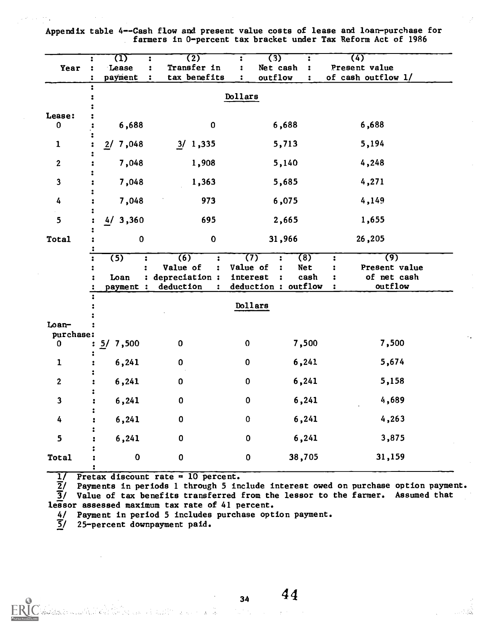Appendix table 4--Cash flow and present value costs of lease and loan-purchase for farmers in 0-percent tax bracket under Tax Reform Act of 1986

| $\overline{\mathbf{z}}$<br><b>Year</b><br>÷ | 71)<br>Lease<br>payment                    | $\overline{(2)}$<br>Transfer in<br>tax benefits                            | 2<br>:                                             | $\overline{(3)}$<br>Net cash<br>outflow                              | :<br>2<br>:        | (4)<br>Present value<br>of cash outflow 1/                                                         |  |
|---------------------------------------------|--------------------------------------------|----------------------------------------------------------------------------|----------------------------------------------------|----------------------------------------------------------------------|--------------------|----------------------------------------------------------------------------------------------------|--|
| :                                           |                                            |                                                                            | Dollars                                            |                                                                      |                    |                                                                                                    |  |
| Lease:                                      |                                            |                                                                            |                                                    |                                                                      |                    |                                                                                                    |  |
| 0                                           | 6,688                                      | 0                                                                          |                                                    | 6,688                                                                |                    | 6,688                                                                                              |  |
| $\mathbf{1}$                                | 7,048<br>2/                                | 3/1,335                                                                    |                                                    | 5,713                                                                |                    | 5,194                                                                                              |  |
| $\boldsymbol{2}$                            | 7,048                                      | 1,908                                                                      |                                                    | 5,140                                                                |                    | 4,248                                                                                              |  |
| $\mathbf{3}$                                | 7,048                                      | 1,363                                                                      |                                                    | 5,685                                                                |                    | 4,271                                                                                              |  |
| 4                                           | 7,048                                      | 973                                                                        |                                                    | 6,075                                                                |                    | 4,149                                                                                              |  |
| 5                                           | 4/3,360                                    | 695                                                                        |                                                    | 2,665                                                                |                    | 1,655                                                                                              |  |
| Total                                       | $\bf{0}$                                   | $\pmb{0}$                                                                  |                                                    | 31,966                                                               |                    | 26,205                                                                                             |  |
| $\ddot{\bullet}$<br>÷                       | $\overline{(5)}$<br>:<br>Loan<br>payment : | (6)<br>:<br>Value of<br>$\ddot{\phantom{a}}$<br>depreciation:<br>deduction | (7)<br>Value of<br>interest<br>deduction : outflow | $\ddot{\phantom{a}}$<br>$\ddot{\phantom{a}}$<br>$\ddot{\phantom{a}}$ | (8)<br>Net<br>cash | $\overline{(9)}$<br>$\ddot{\phantom{a}}$<br>Present value<br>:<br>of net cash<br>:<br>outflow<br>: |  |
|                                             |                                            |                                                                            | Dollars                                            |                                                                      |                    |                                                                                                    |  |
| $L$ oan-<br>purchase:                       |                                            |                                                                            |                                                    |                                                                      |                    |                                                                                                    |  |
| 0                                           | 7,500<br>5/                                | $\pmb{0}$                                                                  | $\mathbf 0$                                        |                                                                      | 7,500              | 7,500                                                                                              |  |
| $\mathbf{1}$                                | 6,241                                      | $\pmb{0}$                                                                  | 0                                                  |                                                                      | 6,241              | 5,674                                                                                              |  |
| $\boldsymbol{2}$                            | 6,241                                      | $\pmb{0}$                                                                  | 0                                                  |                                                                      | 6,241              | 5,158                                                                                              |  |
| 3                                           | 6,241                                      | $\pmb{0}$                                                                  | $\pmb{0}$                                          |                                                                      | 6,241              | 4,689                                                                                              |  |
| 4                                           | 6,241                                      | $\pmb{0}$                                                                  | $\pmb{0}$                                          |                                                                      | 6,241              | 4,263                                                                                              |  |
| 5                                           | 6,241                                      | $\bf{0}$                                                                   | $\pmb{0}$                                          |                                                                      | 6,241              | 3,875                                                                                              |  |
| <b>Total</b>                                | $\pmb{0}$                                  | $\bf{0}$                                                                   | $\pmb{0}$                                          |                                                                      | 38,705             | 31,159                                                                                             |  |

1/ Pretax discount rate = 10 percent.

2/ Payments in periods 1 through 5 include interest owed on purchase option payment. 3/ Value of tax benefits transferred from the lessor to the farmer. Assumed that lessor assessed maximum tax rate of 41 percent.

4/ Payment in period 5 includes purchase option payment.<br>5/ 25-percent downpayment paid.

a<br>Santa Cara (Alama)<br>Santa Cara (Alama) (Santa Cara Cara Cara

25-percent downpayment paid.

<u>Maritim Communica</u>

 $34 \t 44$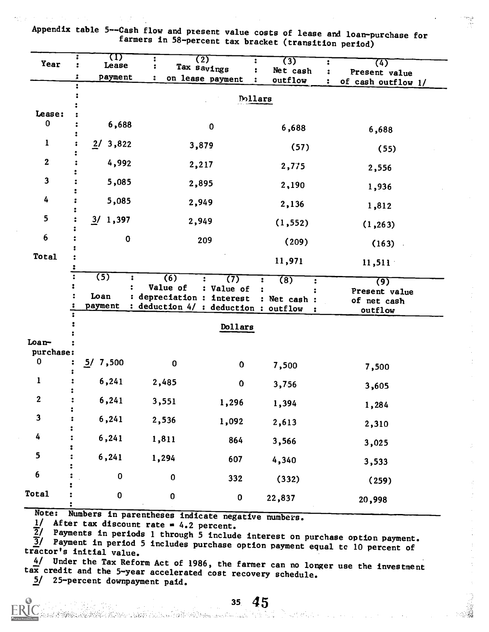Appendix table 5--Cash flow and present value costs of lease and loan-purchase for<br>farmers in 58-percent tax bracket (transition period)

| Year                    | W<br>Lease<br>payment               |                                                                                               | (2)<br>Tax savings<br>on lease payment | (3)<br>Net cash     | (4)<br>Present value                                        |
|-------------------------|-------------------------------------|-----------------------------------------------------------------------------------------------|----------------------------------------|---------------------|-------------------------------------------------------------|
|                         | :                                   |                                                                                               |                                        | outflow             | of cash outflow 1/                                          |
|                         |                                     |                                                                                               |                                        | <b>Dollars</b>      |                                                             |
| Lease:                  |                                     |                                                                                               |                                        |                     |                                                             |
| 0                       | 6,688                               |                                                                                               | $\pmb{0}$                              | 6,688               | 6,688                                                       |
| 1                       | 3,822<br>2/                         |                                                                                               | 3,879                                  | (57)                | (55)                                                        |
| $\boldsymbol{2}$        | 4,992                               |                                                                                               | 2,217                                  | 2,775               | 2,556                                                       |
| $\overline{\mathbf{3}}$ | 5,085                               |                                                                                               | 2,895                                  | 2,190               | 1,936                                                       |
| 4                       | 5,085                               |                                                                                               | 2,949                                  | 2,136               | 1,812                                                       |
| 5                       | 3/1,397                             |                                                                                               | 2,949                                  | (1, 552)            | (1, 263)                                                    |
| $6\phantom{1}6$         | $\pmb{0}$                           |                                                                                               | 209                                    | (209)               | (163)                                                       |
| Total                   |                                     |                                                                                               |                                        | 11,971              | 11,511                                                      |
|                         | $\overline{(5)}$<br>Loan<br>payment | $\overline{(6)}$<br>Value of<br>depreciation : interest<br>deduction 4/ : deduction : outflow | (7)<br>: Value of                      | (8)<br>: Net cash : | $\overline{(9)}$<br>Present value<br>of net cash<br>outflow |
|                         |                                     |                                                                                               | Dollars                                |                     |                                                             |
| Loan-<br>purchase:      |                                     |                                                                                               |                                        |                     |                                                             |
| 0                       | 5/7,500                             | $\mathbf 0$                                                                                   | $\mathbf 0$                            | 7,500               | 7,500                                                       |
| 1                       | 6,241                               | 2,485                                                                                         | $\bf{0}$                               | 3,756               | 3,605                                                       |
| $\boldsymbol{2}$        | 6,241                               | 3,551                                                                                         | 1,296                                  | 1,394               | 1,284                                                       |
| $\mathbf{3}$            | 6,241                               | 2,536                                                                                         | 1,092                                  | 2,613               | 2,310                                                       |
| 4                       | 6,241                               | 1,811                                                                                         | 864                                    | 3,566               | 3,025                                                       |
| 5                       | 6,241                               | 1,294                                                                                         | 607                                    | 4,340               | 3,533                                                       |
| 6                       | $\pmb{0}$                           | $\pmb{0}$                                                                                     | 332                                    | (332)               | (259)                                                       |
| <b>Total</b>            | $\pmb{0}$                           | $\pmb{0}$                                                                                     | $\pmb{0}$                              | 22,837              | 20,998                                                      |

Note: Numbers in parentheses indicate negative numbers.

a a Bhaile an Aonaich an Chuirteacha an Cairtheach a a tha an t-air an chuirteach an chuirteach.

 $\frac{1}{2}$  After tax discount rate = 4.2 percent.<br> $\frac{1}{2}$  Payments in periods 1 through 5 include interest on purchase option payment.  $\overline{3}$ / Payment in period 5 includes purchase option payment equal tc 10 percent of tractor's initial value.

 $4/$  Under the Tax Reform Act of 1986, the farmer can no longer use the investment tax credit and the 5-year accelerated cost recovery schedule.

5/ 25-percent downpayment paid.